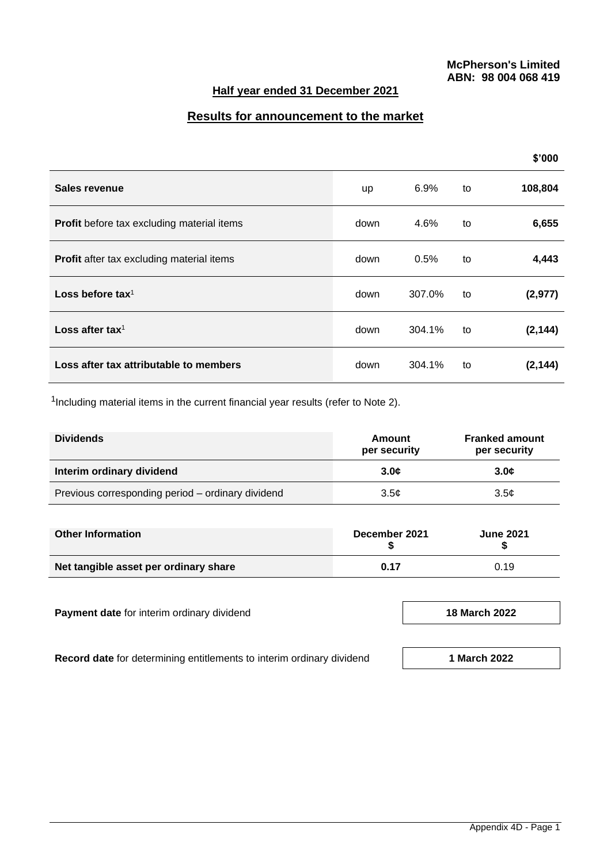# **Half year ended 31 December 2021**

# **Results for announcement to the market**

|                                                  |      |         |    | \$'000   |
|--------------------------------------------------|------|---------|----|----------|
| Sales revenue                                    | up   | $6.9\%$ | to | 108,804  |
| Profit before tax excluding material items       | down | 4.6%    | to | 6,655    |
| <b>Profit</b> after tax excluding material items | down | 0.5%    | to | 4,443    |
| Loss before tax <sup>1</sup>                     | down | 307.0%  | to | (2, 977) |
| Loss after tax <sup>1</sup>                      | down | 304.1%  | to | (2, 144) |
| Loss after tax attributable to members           | down | 304.1%  | to | (2, 144) |

<sup>1</sup>Including material items in the current financial year results (refer to Note 2).

| <b>Dividends</b>                                  | Amount<br>per security | <b>Franked amount</b><br>per security |
|---------------------------------------------------|------------------------|---------------------------------------|
| Interim ordinary dividend                         | 3.0 <sub>c</sub>       | 3.0 <sub>c</sub>                      |
| Previous corresponding period – ordinary dividend | 3.5c                   | 3.5 <sub>c</sub>                      |

| <b>Other Information</b>              | December 2021 | <b>June 2021</b> |
|---------------------------------------|---------------|------------------|
| Net tangible asset per ordinary share | 0.17          | 0.19             |

**Payment date** for interim ordinary dividend **18 March 18 March 18 March 2022** 

**Record date** for determining entitlements to interim ordinary dividend **1 1 March** 2022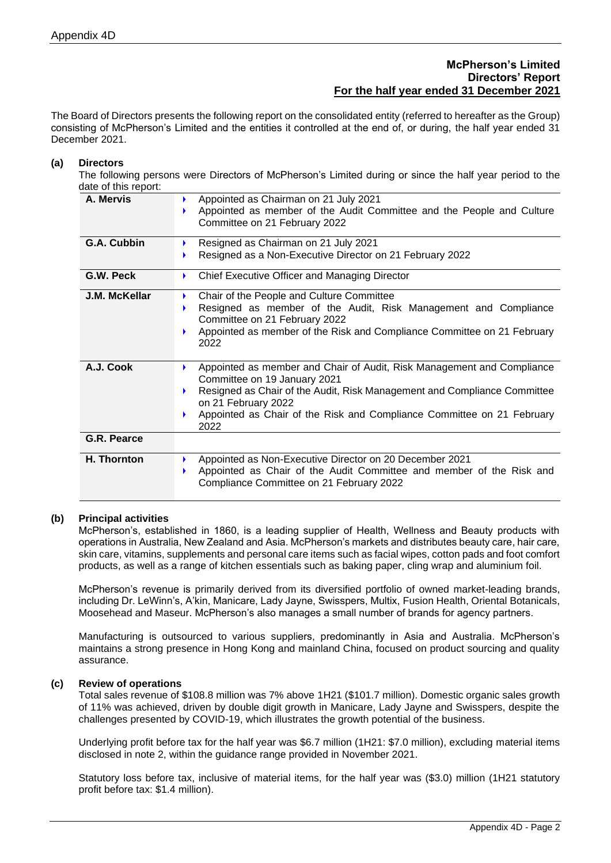# **McPherson's Limited Directors' Report For the half year ended 31 December 2021**

The Board of Directors presents the following report on the consolidated entity (referred to hereafter as the Group) consisting of McPherson's Limited and the entities it controlled at the end of, or during, the half year ended 31 December 2021.

#### **(a) Directors**

The following persons were Directors of McPherson's Limited during or since the half year period to the date of this report:

| A. Mervis     | Appointed as Chairman on 21 July 2021<br>Appointed as member of the Audit Committee and the People and Culture<br>Committee on 21 February 2022 |
|---------------|-------------------------------------------------------------------------------------------------------------------------------------------------|
| G.A. Cubbin   | Resigned as Chairman on 21 July 2021                                                                                                            |
|               | Resigned as a Non-Executive Director on 21 February 2022                                                                                        |
| G.W. Peck     | Chief Executive Officer and Managing Director<br>Þ.                                                                                             |
| J.M. McKellar | Chair of the People and Culture Committee                                                                                                       |
|               | Resigned as member of the Audit, Risk Management and Compliance<br>Committee on 21 February 2022                                                |
|               | Appointed as member of the Risk and Compliance Committee on 21 February                                                                         |
|               | 2022                                                                                                                                            |
|               |                                                                                                                                                 |
| A.J. Cook     | Appointed as member and Chair of Audit, Risk Management and Compliance<br>Committee on 19 January 2021                                          |
|               | Resigned as Chair of the Audit, Risk Management and Compliance Committee<br>Þ.                                                                  |
|               | on 21 February 2022                                                                                                                             |
|               | Appointed as Chair of the Risk and Compliance Committee on 21 February<br>2022                                                                  |
| G.R. Pearce   |                                                                                                                                                 |
| H. Thornton   | Appointed as Non-Executive Director on 20 December 2021                                                                                         |
|               | Appointed as Chair of the Audit Committee and member of the Risk and<br>Compliance Committee on 21 February 2022                                |
|               |                                                                                                                                                 |

### **(b) Principal activities**

McPherson's, established in 1860, is a leading supplier of Health, Wellness and Beauty products with operations in Australia, New Zealand and Asia. McPherson's markets and distributes beauty care, hair care, skin care, vitamins, supplements and personal care items such as facial wipes, cotton pads and foot comfort products, as well as a range of kitchen essentials such as baking paper, cling wrap and aluminium foil.

McPherson's revenue is primarily derived from its diversified portfolio of owned market-leading brands, including Dr. LeWinn's, A'kin, Manicare, Lady Jayne, Swisspers, Multix, Fusion Health, Oriental Botanicals, Moosehead and Maseur. McPherson's also manages a small number of brands for agency partners.

Manufacturing is outsourced to various suppliers, predominantly in Asia and Australia. McPherson's maintains a strong presence in Hong Kong and mainland China, focused on product sourcing and quality assurance.

#### **(c) Review of operations**

Total sales revenue of \$108.8 million was 7% above 1H21 (\$101.7 million). Domestic organic sales growth of 11% was achieved, driven by double digit growth in Manicare, Lady Jayne and Swisspers, despite the challenges presented by COVID-19, which illustrates the growth potential of the business.

Underlying profit before tax for the half year was \$6.7 million (1H21: \$7.0 million), excluding material items disclosed in note 2, within the guidance range provided in November 2021.

Statutory loss before tax, inclusive of material items, for the half year was (\$3.0) million (1H21 statutory profit before tax: \$1.4 million).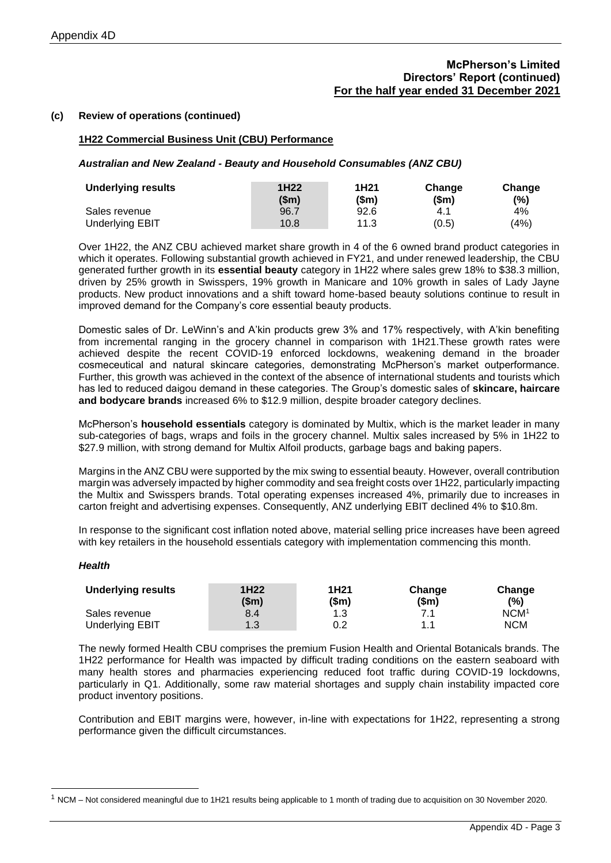### **McPherson's Limited Directors' Report (continued) For the half year ended 31 December 2021**

### **(c) Review of operations (continued)**

### **1H22 Commercial Business Unit (CBU) Performance**

*Australian and New Zealand - Beauty and Household Consumables (ANZ CBU)*

| <b>Underlying results</b> | 1H <sub>22</sub><br>(Sm) | 1H21<br>(\$m) | Change<br>sm) | Change<br>(%) |
|---------------------------|--------------------------|---------------|---------------|---------------|
| Sales revenue             | 96.7                     | 92.6          | 4.1           | 4%            |
| <b>Underlying EBIT</b>    | 10.8                     | 11.3          | (0.5)         | (4%)          |

Over 1H22, the ANZ CBU achieved market share growth in 4 of the 6 owned brand product categories in which it operates. Following substantial growth achieved in FY21, and under renewed leadership, the CBU generated further growth in its **essential beauty** category in 1H22 where sales grew 18% to \$38.3 million, driven by 25% growth in Swisspers, 19% growth in Manicare and 10% growth in sales of Lady Jayne products. New product innovations and a shift toward home-based beauty solutions continue to result in improved demand for the Company's core essential beauty products.

Domestic sales of Dr. LeWinn's and A'kin products grew 3% and 17% respectively, with A'kin benefiting from incremental ranging in the grocery channel in comparison with 1H21.These growth rates were achieved despite the recent COVID-19 enforced lockdowns, weakening demand in the broader cosmeceutical and natural skincare categories, demonstrating McPherson's market outperformance. Further, this growth was achieved in the context of the absence of international students and tourists which has led to reduced daigou demand in these categories. The Group's domestic sales of **skincare, haircare and bodycare brands** increased 6% to \$12.9 million, despite broader category declines.

McPherson's **household essentials** category is dominated by Multix, which is the market leader in many sub-categories of bags, wraps and foils in the grocery channel. Multix sales increased by 5% in 1H22 to \$27.9 million, with strong demand for Multix Alfoil products, garbage bags and baking papers.

Margins in the ANZ CBU were supported by the mix swing to essential beauty. However, overall contribution margin was adversely impacted by higher commodity and sea freight costs over 1H22, particularly impacting the Multix and Swisspers brands. Total operating expenses increased 4%, primarily due to increases in carton freight and advertising expenses. Consequently, ANZ underlying EBIT declined 4% to \$10.8m.

In response to the significant cost inflation noted above, material selling price increases have been agreed with key retailers in the household essentials category with implementation commencing this month.

#### *Health*

| <b>Underlying results</b> | 1H <sub>22</sub><br>(\$m) | 1H <sub>21</sub><br>(\$m) | Change<br>$(\mathsf{Sm})$ | Change<br>$(\% )$ |
|---------------------------|---------------------------|---------------------------|---------------------------|-------------------|
| Sales revenue             | 8.4                       | 1.3                       | 71                        | NCM <sup>1</sup>  |
| <b>Underlying EBIT</b>    | 1.3                       | 0.2                       | 11                        | <b>NCM</b>        |

The newly formed Health CBU comprises the premium Fusion Health and Oriental Botanicals brands. The 1H22 performance for Health was impacted by difficult trading conditions on the eastern seaboard with many health stores and pharmacies experiencing reduced foot traffic during COVID-19 lockdowns, particularly in Q1. Additionally, some raw material shortages and supply chain instability impacted core product inventory positions.

Contribution and EBIT margins were, however, in-line with expectations for 1H22, representing a strong performance given the difficult circumstances.

 $1$  NCM – Not considered meaningful due to 1H21 results being applicable to 1 month of trading due to acquisition on 30 November 2020.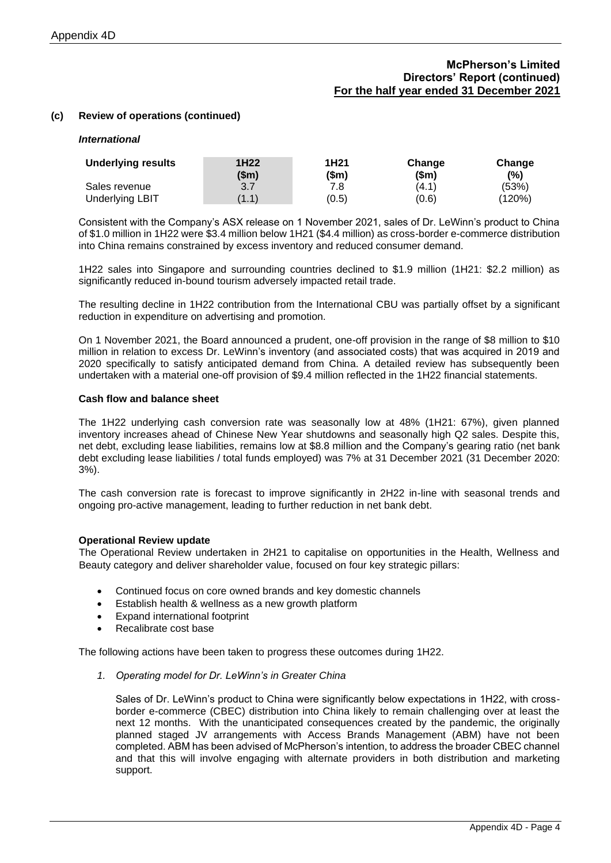# **McPherson's Limited Directors' Report (continued) For the half year ended 31 December 2021**

### **(c) Review of operations (continued)**

#### *International*

| <b>Underlying results</b> | 1H <sub>22</sub><br>(\$m) | 1H <sub>21</sub><br>(\$m) | Change<br>(\$m) | Change<br>(%) |
|---------------------------|---------------------------|---------------------------|-----------------|---------------|
| Sales revenue             | 3.7                       | 7.8                       | (4.1)           | (53%)         |
| <b>Underlying LBIT</b>    | (1.1)                     | (0.5)                     | (0.6)           | (120%)        |

Consistent with the Company's ASX release on 1 November 2021, sales of Dr. LeWinn's product to China of \$1.0 million in 1H22 were \$3.4 million below 1H21 (\$4.4 million) as cross-border e-commerce distribution into China remains constrained by excess inventory and reduced consumer demand.

1H22 sales into Singapore and surrounding countries declined to \$1.9 million (1H21: \$2.2 million) as significantly reduced in-bound tourism adversely impacted retail trade.

The resulting decline in 1H22 contribution from the International CBU was partially offset by a significant reduction in expenditure on advertising and promotion.

On 1 November 2021, the Board announced a prudent, one-off provision in the range of \$8 million to \$10 million in relation to excess Dr. LeWinn's inventory (and associated costs) that was acquired in 2019 and 2020 specifically to satisfy anticipated demand from China. A detailed review has subsequently been undertaken with a material one-off provision of \$9.4 million reflected in the 1H22 financial statements.

#### **Cash flow and balance sheet**

The 1H22 underlying cash conversion rate was seasonally low at 48% (1H21: 67%), given planned inventory increases ahead of Chinese New Year shutdowns and seasonally high Q2 sales. Despite this, net debt, excluding lease liabilities, remains low at \$8.8 million and the Company's gearing ratio (net bank debt excluding lease liabilities / total funds employed) was 7% at 31 December 2021 (31 December 2020: 3%).

The cash conversion rate is forecast to improve significantly in 2H22 in-line with seasonal trends and ongoing pro-active management, leading to further reduction in net bank debt.

#### **Operational Review update**

The Operational Review undertaken in 2H21 to capitalise on opportunities in the Health, Wellness and Beauty category and deliver shareholder value, focused on four key strategic pillars:

- Continued focus on core owned brands and key domestic channels
- Establish health & wellness as a new growth platform
- Expand international footprint
- Recalibrate cost base

The following actions have been taken to progress these outcomes during 1H22.

*1. Operating model for Dr. LeWinn's in Greater China*

Sales of Dr. LeWinn's product to China were significantly below expectations in 1H22, with crossborder e-commerce (CBEC) distribution into China likely to remain challenging over at least the next 12 months. With the unanticipated consequences created by the pandemic, the originally planned staged JV arrangements with Access Brands Management (ABM) have not been completed. ABM has been advised of McPherson's intention, to address the broader CBEC channel and that this will involve engaging with alternate providers in both distribution and marketing support.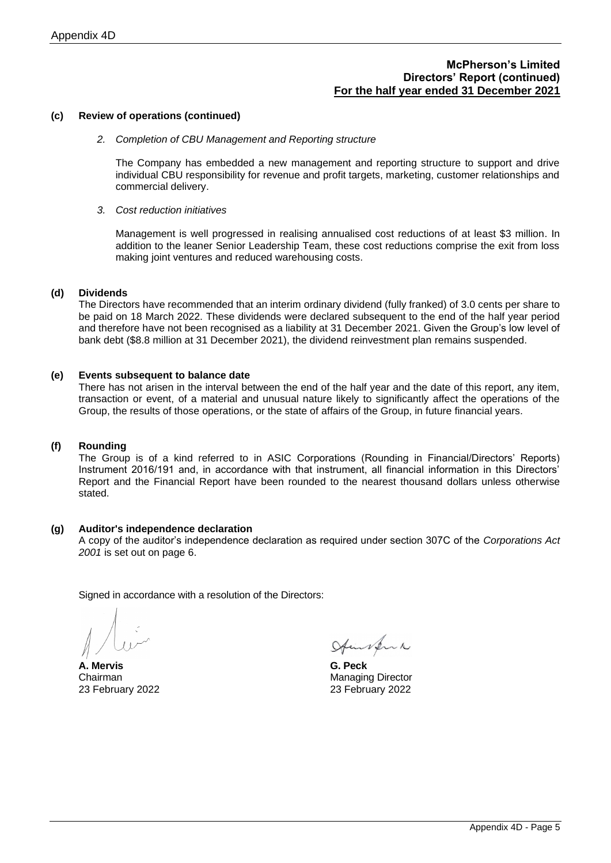### **McPherson's Limited Directors' Report (continued) For the half year ended 31 December 2021**

### **(c) Review of operations (continued)**

#### *2. Completion of CBU Management and Reporting structure*

The Company has embedded a new management and reporting structure to support and drive individual CBU responsibility for revenue and profit targets, marketing, customer relationships and commercial delivery.

#### *3. Cost reduction initiatives*

Management is well progressed in realising annualised cost reductions of at least \$3 million. In addition to the leaner Senior Leadership Team, these cost reductions comprise the exit from loss making joint ventures and reduced warehousing costs.

### **(d) Dividends**

The Directors have recommended that an interim ordinary dividend (fully franked) of 3.0 cents per share to be paid on 18 March 2022. These dividends were declared subsequent to the end of the half year period and therefore have not been recognised as a liability at 31 December 2021. Given the Group's low level of bank debt (\$8.8 million at 31 December 2021), the dividend reinvestment plan remains suspended.

### **(e) Events subsequent to balance date**

There has not arisen in the interval between the end of the half year and the date of this report, any item, transaction or event, of a material and unusual nature likely to significantly affect the operations of the Group, the results of those operations, or the state of affairs of the Group, in future financial years.

### **(f) Rounding**

The Group is of a kind referred to in ASIC Corporations (Rounding in Financial/Directors' Reports) Instrument 2016/191 and, in accordance with that instrument, all financial information in this Directors' Report and the Financial Report have been rounded to the nearest thousand dollars unless otherwise stated.

#### **(g) Auditor's independence declaration**

A copy of the auditor's independence declaration as required under section 307C of the *Corporations Act 2001* is set out on page 6.

Signed in accordance with a resolution of the Directors:

**A. Mervis G. Peck** 23 February 2022 23 February 2022

Auntern

Chairman Managing Director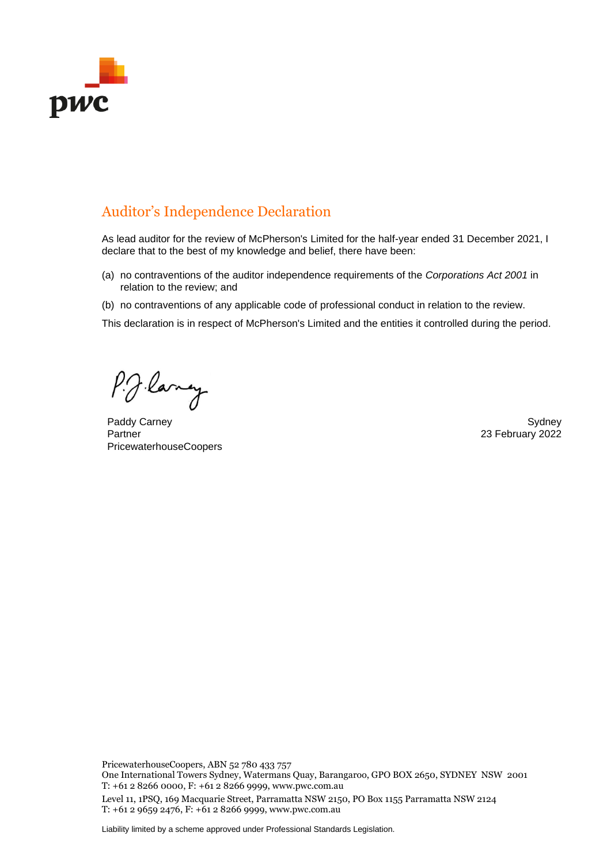

# Auditor's Independence Declaration

As lead auditor for the review of McPherson's Limited for the half-year ended 31 December 2021, I declare that to the best of my knowledge and belief, there have been:

- (a) no contraventions of the auditor independence requirements of the *Corporations Act 2001* in relation to the review; and
- (b) no contraventions of any applicable code of professional conduct in relation to the review.

This declaration is in respect of McPherson's Limited and the entities it controlled during the period.

P.J. lang

Paddy Carney Sydney Sydney Sydney Sydney Sydney Sydney Sydney Sydney Sydney Sydney Sydney Sydney Sydney Sydney Partner PricewaterhouseCoopers

23 February 2022

PricewaterhouseCoopers, ABN 52 780 433 757

One International Towers Sydney, Watermans Quay, Barangaroo, GPO BOX 2650, SYDNEY NSW 2001 T: +61 2 8266 0000, F: +61 2 8266 9999, www.pwc.com.au

Level 11, 1PSQ, 169 Macquarie Street, Parramatta NSW 2150, PO Box 1155 Parramatta NSW 2124 T: +61 2 9659 2476, F: +61 2 8266 9999, www.pwc.com.au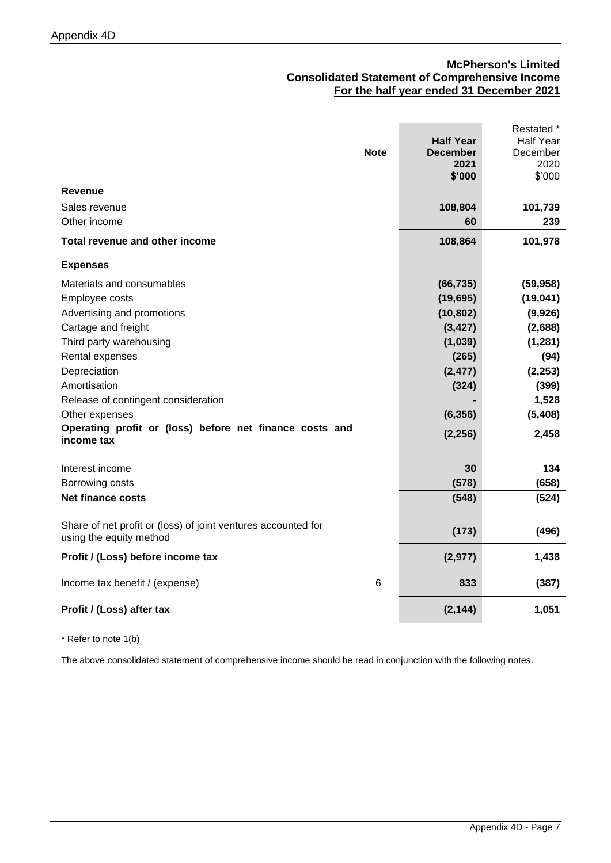# **McPherson's Limited Consolidated Statement of Comprehensive Income For the half year ended 31 December 2021**

|                                                                                          | <b>Note</b> | <b>Half Year</b><br><b>December</b><br>2021<br>\$'000 | Restated *<br><b>Half Year</b><br>December<br>2020<br>\$'000 |
|------------------------------------------------------------------------------------------|-------------|-------------------------------------------------------|--------------------------------------------------------------|
| <b>Revenue</b>                                                                           |             |                                                       |                                                              |
| Sales revenue                                                                            |             | 108,804                                               | 101,739                                                      |
| Other income                                                                             |             | 60                                                    | 239                                                          |
| Total revenue and other income                                                           |             | 108,864                                               | 101,978                                                      |
| <b>Expenses</b>                                                                          |             |                                                       |                                                              |
| Materials and consumables                                                                |             | (66, 735)                                             | (59, 958)                                                    |
| Employee costs                                                                           |             | (19, 695)                                             | (19, 041)                                                    |
| Advertising and promotions                                                               |             | (10, 802)                                             | (9,926)                                                      |
| Cartage and freight                                                                      |             | (3, 427)                                              | (2,688)                                                      |
| Third party warehousing                                                                  |             | (1,039)                                               | (1, 281)                                                     |
| Rental expenses                                                                          |             | (265)                                                 | (94)                                                         |
| Depreciation                                                                             |             | (2, 477)                                              | (2, 253)                                                     |
| Amortisation                                                                             |             | (324)                                                 | (399)                                                        |
| Release of contingent consideration                                                      |             |                                                       | 1,528                                                        |
| Other expenses                                                                           |             | (6, 356)                                              | (5, 408)                                                     |
| Operating profit or (loss) before net finance costs and<br>income tax                    |             | (2, 256)                                              | 2,458                                                        |
| Interest income                                                                          |             | 30                                                    | 134                                                          |
| Borrowing costs                                                                          |             | (578)                                                 | (658)                                                        |
| <b>Net finance costs</b>                                                                 |             | (548)                                                 | (524)                                                        |
| Share of net profit or (loss) of joint ventures accounted for<br>using the equity method |             | (173)                                                 | (496)                                                        |
| Profit / (Loss) before income tax                                                        |             | (2, 977)                                              | 1,438                                                        |
| Income tax benefit / (expense)                                                           | 6           | 833                                                   | (387)                                                        |
| Profit / (Loss) after tax                                                                |             | (2, 144)                                              | 1,051                                                        |
|                                                                                          |             |                                                       |                                                              |

\* Refer to note 1(b)

The above consolidated statement of comprehensive income should be read in conjunction with the following notes.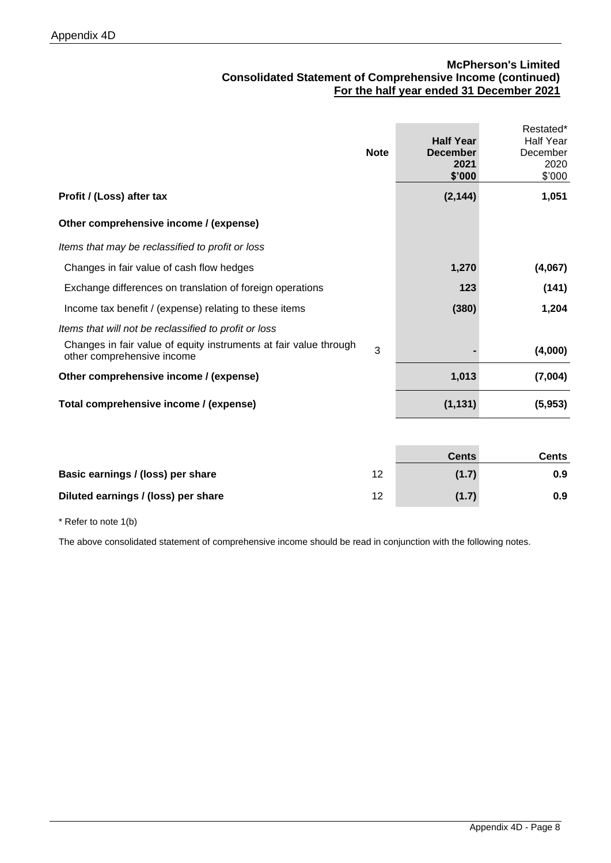# **McPherson's Limited Consolidated Statement of Comprehensive Income (continued) For the half year ended 31 December 2021**

| <b>Note</b>                                                                                          | <b>Half Year</b><br><b>December</b><br>2021<br>\$'000 | Restated*<br><b>Half Year</b><br>December<br>2020<br>\$'000 |
|------------------------------------------------------------------------------------------------------|-------------------------------------------------------|-------------------------------------------------------------|
| Profit / (Loss) after tax                                                                            | (2, 144)                                              | 1,051                                                       |
| Other comprehensive income / (expense)                                                               |                                                       |                                                             |
| Items that may be reclassified to profit or loss                                                     |                                                       |                                                             |
| Changes in fair value of cash flow hedges                                                            | 1,270                                                 | (4,067)                                                     |
| Exchange differences on translation of foreign operations                                            | 123                                                   | (141)                                                       |
| Income tax benefit / (expense) relating to these items                                               | (380)                                                 | 1,204                                                       |
| Items that will not be reclassified to profit or loss                                                |                                                       |                                                             |
| Changes in fair value of equity instruments at fair value through<br>3<br>other comprehensive income |                                                       | (4,000)                                                     |
| Other comprehensive income / (expense)                                                               | 1,013                                                 | (7,004)                                                     |
| Total comprehensive income / (expense)                                                               | (1, 131)                                              | (5,953)                                                     |

|                                     |    | <b>Cents</b> | Cents |
|-------------------------------------|----|--------------|-------|
| Basic earnings / (loss) per share   | 12 | (1.7)        | 0.9   |
| Diluted earnings / (loss) per share | 12 | (1.7)        | 0.9   |

\* Refer to note 1(b)

The above consolidated statement of comprehensive income should be read in conjunction with the following notes.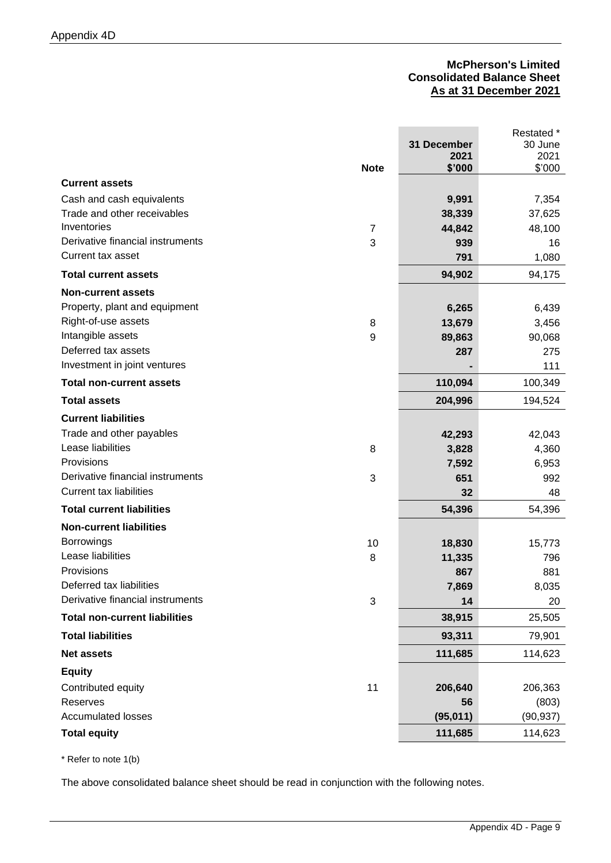# **McPherson's Limited Consolidated Balance Sheet As at 31 December 2021**

|                                      |                           |             | Restated * |
|--------------------------------------|---------------------------|-------------|------------|
|                                      |                           | 31 December | 30 June    |
|                                      |                           | 2021        | 2021       |
|                                      | <b>Note</b>               | \$'000      | \$'000     |
| <b>Current assets</b>                |                           |             |            |
| Cash and cash equivalents            |                           | 9,991       | 7,354      |
| Trade and other receivables          |                           | 38,339      | 37,625     |
| Inventories                          | $\overline{7}$            | 44,842      | 48,100     |
| Derivative financial instruments     | 3                         | 939         | 16         |
| Current tax asset                    |                           | 791         | 1,080      |
| <b>Total current assets</b>          |                           | 94,902      | 94,175     |
| <b>Non-current assets</b>            |                           |             |            |
| Property, plant and equipment        |                           | 6,265       | 6,439      |
| Right-of-use assets                  | 8                         | 13,679      | 3,456      |
| Intangible assets                    | $\boldsymbol{9}$          | 89,863      | 90,068     |
| Deferred tax assets                  |                           | 287         | 275        |
| Investment in joint ventures         |                           |             | 111        |
| <b>Total non-current assets</b>      |                           | 110,094     | 100,349    |
| <b>Total assets</b>                  |                           | 204,996     | 194,524    |
| <b>Current liabilities</b>           |                           |             |            |
| Trade and other payables             |                           | 42,293      | 42,043     |
| Lease liabilities                    | 8                         | 3,828       | 4,360      |
| Provisions                           |                           | 7,592       | 6,953      |
| Derivative financial instruments     | 3                         | 651         | 992        |
| <b>Current tax liabilities</b>       |                           | 32          | 48         |
| <b>Total current liabilities</b>     |                           | 54,396      | 54,396     |
| <b>Non-current liabilities</b>       |                           |             |            |
| <b>Borrowings</b>                    | 10                        | 18,830      | 15,773     |
| Lease liabilities                    | 8                         | 11,335      | 796        |
| Provisions                           |                           | 867         | 881        |
| Deferred tax liabilities             |                           | 7,869       | 8,035      |
| Derivative financial instruments     | $\ensuremath{\mathsf{3}}$ | 14          | 20         |
| <b>Total non-current liabilities</b> |                           | 38,915      | 25,505     |
| <b>Total liabilities</b>             |                           | 93,311      | 79,901     |
| <b>Net assets</b>                    |                           | 111,685     | 114,623    |
| <b>Equity</b>                        |                           |             |            |
| Contributed equity                   | 11                        | 206,640     | 206,363    |
| Reserves                             |                           | 56          | (803)      |
| <b>Accumulated losses</b>            |                           | (95, 011)   | (90, 937)  |
| <b>Total equity</b>                  |                           | 111,685     | 114,623    |
|                                      |                           |             |            |

\* Refer to note 1(b)

The above consolidated balance sheet should be read in conjunction with the following notes.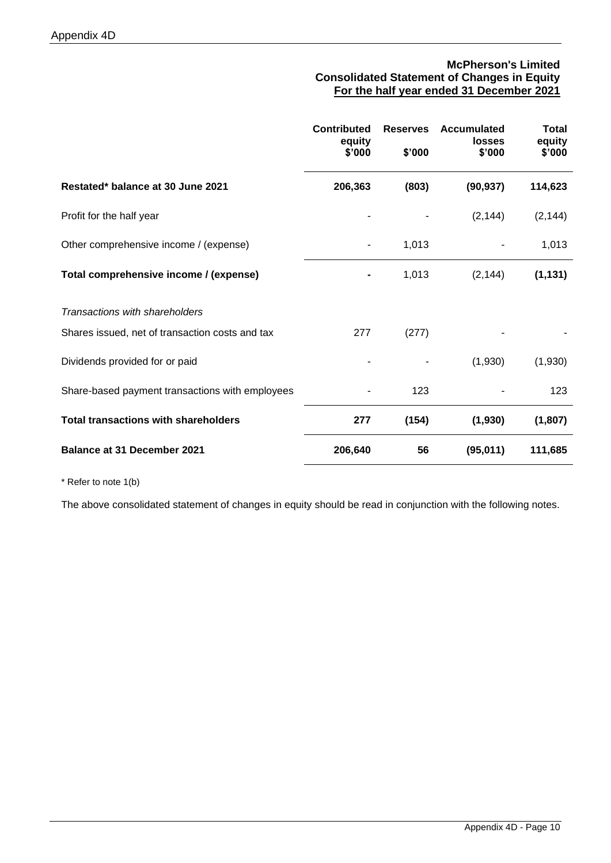# **McPherson's Limited Consolidated Statement of Changes in Equity For the half year ended 31 December 2021**

|                                                 | <b>Contributed</b><br>equity<br>\$'000 | <b>Reserves</b><br>\$'000 | <b>Accumulated</b><br>losses<br>\$'000 | <b>Total</b><br>equity<br>\$'000 |
|-------------------------------------------------|----------------------------------------|---------------------------|----------------------------------------|----------------------------------|
| Restated* balance at 30 June 2021               | 206,363                                | (803)                     | (90, 937)                              | 114,623                          |
| Profit for the half year                        |                                        |                           | (2, 144)                               | (2, 144)                         |
| Other comprehensive income / (expense)          |                                        | 1,013                     |                                        | 1,013                            |
| Total comprehensive income / (expense)          |                                        | 1,013                     | (2, 144)                               | (1, 131)                         |
| Transactions with shareholders                  |                                        |                           |                                        |                                  |
| Shares issued, net of transaction costs and tax | 277                                    | (277)                     |                                        |                                  |
| Dividends provided for or paid                  |                                        |                           | (1,930)                                | (1,930)                          |
| Share-based payment transactions with employees |                                        | 123                       |                                        | 123                              |
| <b>Total transactions with shareholders</b>     | 277                                    | (154)                     | (1,930)                                | (1,807)                          |
| <b>Balance at 31 December 2021</b>              | 206,640                                | 56                        | (95,011)                               | 111,685                          |

\* Refer to note 1(b)

The above consolidated statement of changes in equity should be read in conjunction with the following notes.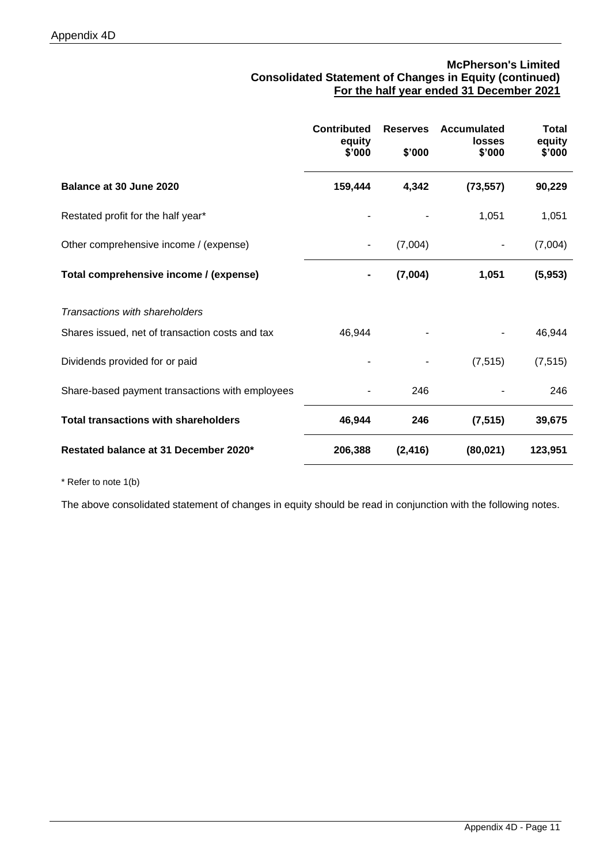# **McPherson's Limited Consolidated Statement of Changes in Equity (continued) For the half year ended 31 December 2021**

|                                                 | <b>Contributed</b><br>equity<br>\$'000 | <b>Reserves</b><br>\$'000 | Accumulated<br>losses<br>\$'000 | <b>Total</b><br>equity<br>\$'000 |
|-------------------------------------------------|----------------------------------------|---------------------------|---------------------------------|----------------------------------|
| Balance at 30 June 2020                         | 159,444                                | 4,342                     | (73, 557)                       | 90,229                           |
| Restated profit for the half year*              |                                        |                           | 1,051                           | 1,051                            |
| Other comprehensive income / (expense)          |                                        | (7,004)                   |                                 | (7,004)                          |
| Total comprehensive income / (expense)          |                                        | (7,004)                   | 1,051                           | (5,953)                          |
| Transactions with shareholders                  |                                        |                           |                                 |                                  |
| Shares issued, net of transaction costs and tax | 46,944                                 |                           |                                 | 46,944                           |
| Dividends provided for or paid                  |                                        |                           | (7, 515)                        | (7, 515)                         |
| Share-based payment transactions with employees |                                        | 246                       |                                 | 246                              |
| <b>Total transactions with shareholders</b>     | 46,944                                 | 246                       | (7, 515)                        | 39,675                           |
| Restated balance at 31 December 2020*           | 206,388                                | (2, 416)                  | (80, 021)                       | 123,951                          |

\* Refer to note 1(b)

The above consolidated statement of changes in equity should be read in conjunction with the following notes.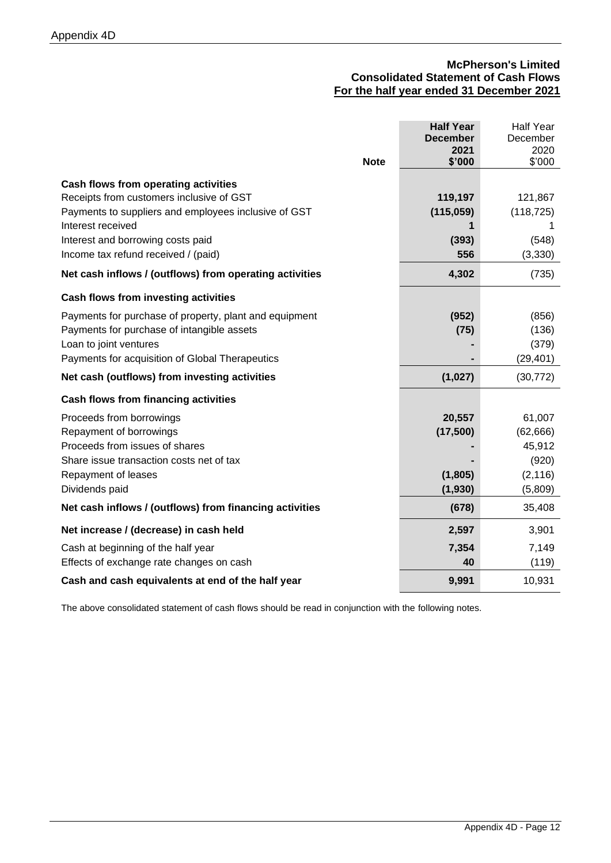# **McPherson's Limited Consolidated Statement of Cash Flows For the half year ended 31 December 2021**

|                                                         | <b>Half Year</b> | <b>Half Year</b> |
|---------------------------------------------------------|------------------|------------------|
|                                                         | <b>December</b>  | December         |
|                                                         | 2021             | 2020             |
| <b>Note</b>                                             | \$'000           | \$'000           |
| Cash flows from operating activities                    |                  |                  |
| Receipts from customers inclusive of GST                | 119,197          | 121,867          |
| Payments to suppliers and employees inclusive of GST    | (115, 059)       | (118, 725)       |
| Interest received                                       | 1                |                  |
| Interest and borrowing costs paid                       | (393)            | (548)            |
| Income tax refund received / (paid)                     | 556              | (3, 330)         |
| Net cash inflows / (outflows) from operating activities | 4,302            | (735)            |
|                                                         |                  |                  |
| <b>Cash flows from investing activities</b>             |                  |                  |
| Payments for purchase of property, plant and equipment  | (952)            | (856)            |
| Payments for purchase of intangible assets              | (75)             | (136)            |
| Loan to joint ventures                                  |                  | (379)            |
| Payments for acquisition of Global Therapeutics         |                  | (29, 401)        |
| Net cash (outflows) from investing activities           | (1,027)          | (30, 772)        |
| Cash flows from financing activities                    |                  |                  |
| Proceeds from borrowings                                | 20,557           | 61,007           |
| Repayment of borrowings                                 | (17, 500)        | (62, 666)        |
| Proceeds from issues of shares                          |                  | 45,912           |
| Share issue transaction costs net of tax                |                  | (920)            |
| Repayment of leases                                     | (1,805)          | (2, 116)         |
| Dividends paid                                          | (1,930)          | (5,809)          |
| Net cash inflows / (outflows) from financing activities | (678)            | 35,408           |
| Net increase / (decrease) in cash held                  | 2,597            | 3,901            |
| Cash at beginning of the half year                      | 7,354            | 7,149            |
| Effects of exchange rate changes on cash                | 40               | (119)            |
| Cash and cash equivalents at end of the half year       | 9,991            | 10,931           |

The above consolidated statement of cash flows should be read in conjunction with the following notes.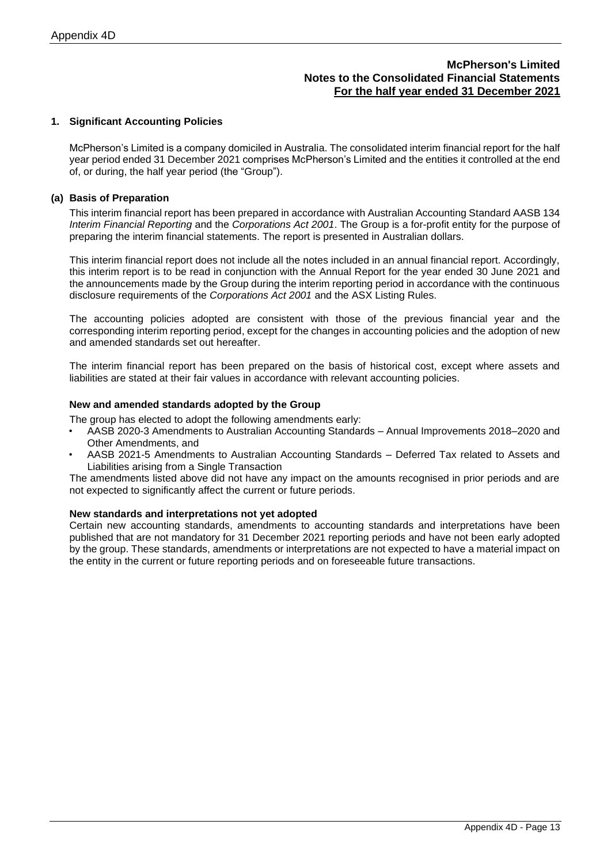### **1. Significant Accounting Policies**

McPherson's Limited is a company domiciled in Australia. The consolidated interim financial report for the half year period ended 31 December 2021 comprises McPherson's Limited and the entities it controlled at the end of, or during, the half year period (the "Group").

### **(a) Basis of Preparation**

This interim financial report has been prepared in accordance with Australian Accounting Standard AASB 134 *Interim Financial Reporting* and the *Corporations Act 2001*. The Group is a for-profit entity for the purpose of preparing the interim financial statements. The report is presented in Australian dollars.

This interim financial report does not include all the notes included in an annual financial report. Accordingly, this interim report is to be read in conjunction with the Annual Report for the year ended 30 June 2021 and the announcements made by the Group during the interim reporting period in accordance with the continuous disclosure requirements of the *Corporations Act 2001* and the ASX Listing Rules.

The accounting policies adopted are consistent with those of the previous financial year and the corresponding interim reporting period, except for the changes in accounting policies and the adoption of new and amended standards set out hereafter.

The interim financial report has been prepared on the basis of historical cost, except where assets and liabilities are stated at their fair values in accordance with relevant accounting policies.

#### **New and amended standards adopted by the Group**

The group has elected to adopt the following amendments early:

- AASB 2020-3 Amendments to Australian Accounting Standards Annual Improvements 2018–2020 and Other Amendments, and
- AASB 2021-5 Amendments to Australian Accounting Standards Deferred Tax related to Assets and Liabilities arising from a Single Transaction

The amendments listed above did not have any impact on the amounts recognised in prior periods and are not expected to significantly affect the current or future periods.

#### **New standards and interpretations not yet adopted**

Certain new accounting standards, amendments to accounting standards and interpretations have been published that are not mandatory for 31 December 2021 reporting periods and have not been early adopted by the group. These standards, amendments or interpretations are not expected to have a material impact on the entity in the current or future reporting periods and on foreseeable future transactions.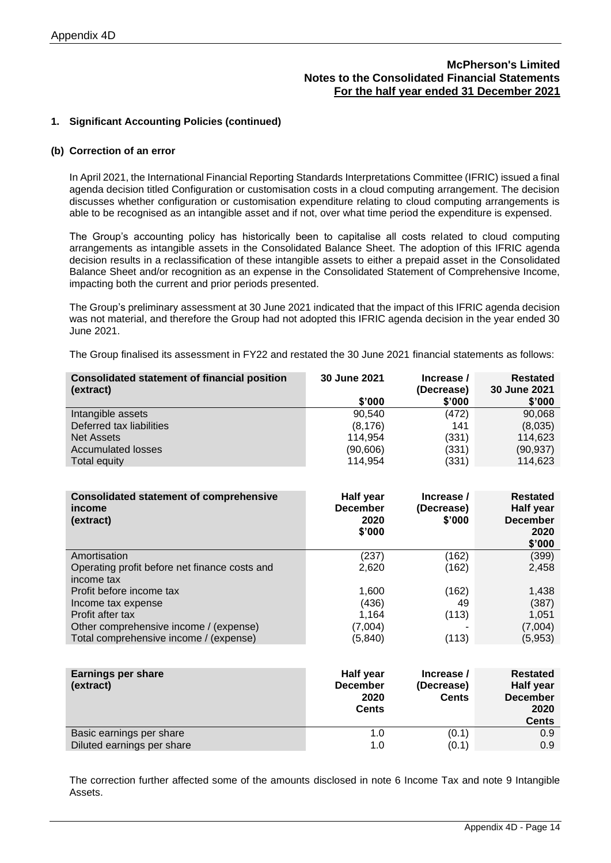### **1. Significant Accounting Policies (continued)**

#### **(b) Correction of an error**

In April 2021, the International Financial Reporting Standards Interpretations Committee (IFRIC) issued a final agenda decision titled Configuration or customisation costs in a cloud computing arrangement. The decision discusses whether configuration or customisation expenditure relating to cloud computing arrangements is able to be recognised as an intangible asset and if not, over what time period the expenditure is expensed.

The Group's accounting policy has historically been to capitalise all costs related to cloud computing arrangements as intangible assets in the Consolidated Balance Sheet. The adoption of this IFRIC agenda decision results in a reclassification of these intangible assets to either a prepaid asset in the Consolidated Balance Sheet and/or recognition as an expense in the Consolidated Statement of Comprehensive Income, impacting both the current and prior periods presented.

The Group's preliminary assessment at 30 June 2021 indicated that the impact of this IFRIC agenda decision was not material, and therefore the Group had not adopted this IFRIC agenda decision in the year ended 30 June 2021.

The Group finalised its assessment in FY22 and restated the 30 June 2021 financial statements as follows:

| <b>30 June 2021</b> | Increase /                                                                                                                                   | <b>Restated</b><br>30 June 2021                                                                               |
|---------------------|----------------------------------------------------------------------------------------------------------------------------------------------|---------------------------------------------------------------------------------------------------------------|
| \$'000              | \$'000                                                                                                                                       | \$'000                                                                                                        |
| 90,540              | (472)                                                                                                                                        | 90,068                                                                                                        |
|                     |                                                                                                                                              | (8,035)                                                                                                       |
|                     |                                                                                                                                              | 114,623                                                                                                       |
|                     |                                                                                                                                              | (90, 937)                                                                                                     |
|                     |                                                                                                                                              | 114,623                                                                                                       |
|                     |                                                                                                                                              |                                                                                                               |
| Half year           | Increase /                                                                                                                                   | <b>Restated</b>                                                                                               |
| <b>December</b>     | (Decrease)                                                                                                                                   | <b>Half year</b>                                                                                              |
| 2020                | \$'000                                                                                                                                       | <b>December</b>                                                                                               |
|                     |                                                                                                                                              | 2020                                                                                                          |
|                     |                                                                                                                                              | \$'000                                                                                                        |
|                     |                                                                                                                                              | (399)                                                                                                         |
|                     |                                                                                                                                              | 2,458                                                                                                         |
|                     |                                                                                                                                              |                                                                                                               |
|                     |                                                                                                                                              | 1,438                                                                                                         |
|                     |                                                                                                                                              | (387)                                                                                                         |
|                     |                                                                                                                                              | 1,051                                                                                                         |
|                     |                                                                                                                                              | (7,004)                                                                                                       |
|                     |                                                                                                                                              | (5,953)                                                                                                       |
|                     |                                                                                                                                              |                                                                                                               |
| Half year           | Increase /                                                                                                                                   | <b>Restated</b><br>Half year                                                                                  |
|                     | (8, 176)<br>114,954<br>(90, 606)<br>114,954<br>\$'000<br>(237)<br>2,620<br>1,600<br>(436)<br>1,164<br>(7,004)<br>(5, 840)<br><b>December</b> | (Decrease)<br>141<br>(331)<br>(331)<br>(331)<br>(162)<br>(162)<br>(162)<br>49<br>(113)<br>(113)<br>(Decrease) |

|                            | 2020<br><b>Cents</b> | <b>Cents</b> | <b>December</b><br>2020<br><b>Cents</b> |
|----------------------------|----------------------|--------------|-----------------------------------------|
| Basic earnings per share   | ่า .0                | (0.1)        | 0.9                                     |
| Diluted earnings per share | 1.O                  | (0.1)        | 0.9                                     |

The correction further affected some of the amounts disclosed in note 6 Income Tax and note 9 Intangible Assets.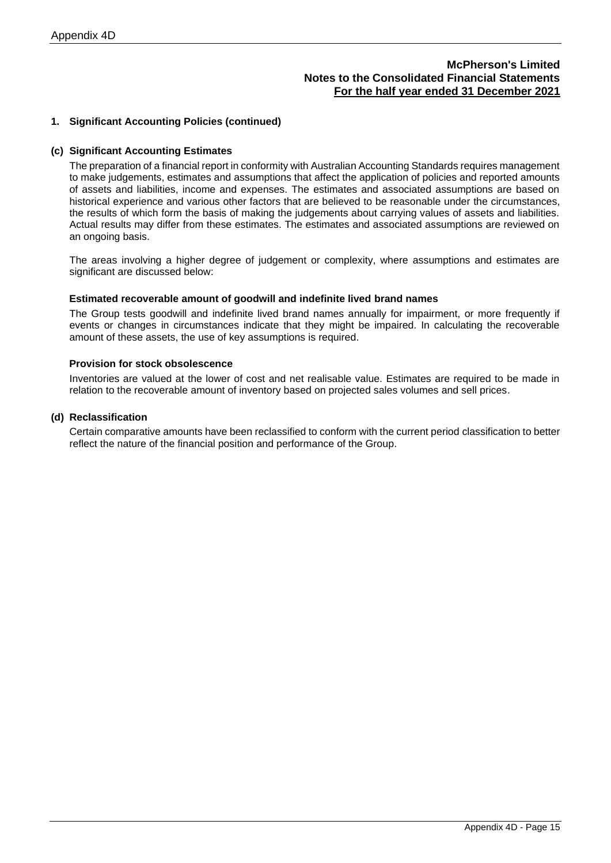### **1. Significant Accounting Policies (continued)**

### **(c) Significant Accounting Estimates**

The preparation of a financial report in conformity with Australian Accounting Standards requires management to make judgements, estimates and assumptions that affect the application of policies and reported amounts of assets and liabilities, income and expenses. The estimates and associated assumptions are based on historical experience and various other factors that are believed to be reasonable under the circumstances, the results of which form the basis of making the judgements about carrying values of assets and liabilities. Actual results may differ from these estimates. The estimates and associated assumptions are reviewed on an ongoing basis.

The areas involving a higher degree of judgement or complexity, where assumptions and estimates are significant are discussed below:

#### **Estimated recoverable amount of goodwill and indefinite lived brand names**

The Group tests goodwill and indefinite lived brand names annually for impairment, or more frequently if events or changes in circumstances indicate that they might be impaired. In calculating the recoverable amount of these assets, the use of key assumptions is required.

#### **Provision for stock obsolescence**

Inventories are valued at the lower of cost and net realisable value. Estimates are required to be made in relation to the recoverable amount of inventory based on projected sales volumes and sell prices.

### **(d) Reclassification**

Certain comparative amounts have been reclassified to conform with the current period classification to better reflect the nature of the financial position and performance of the Group.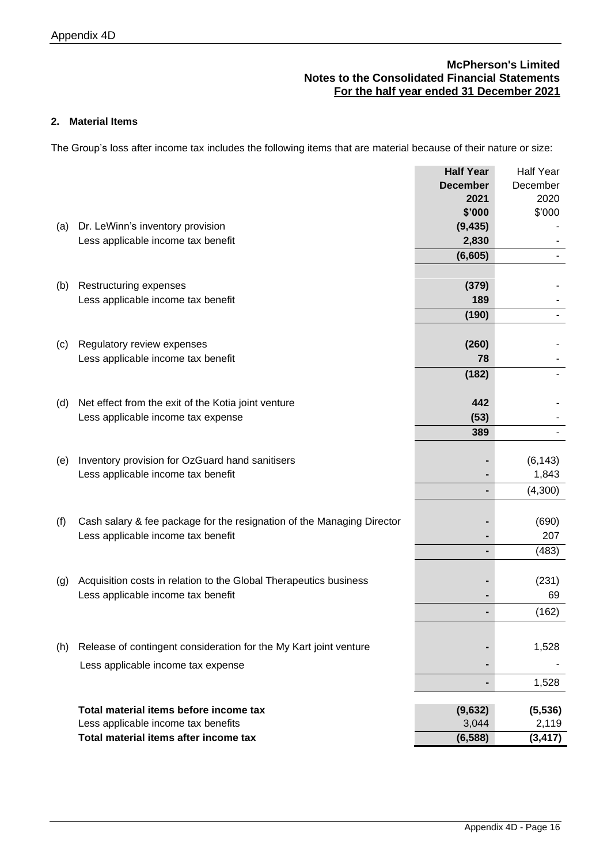# **2. Material Items**

The Group's loss after income tax includes the following items that are material because of their nature or size:

|     |                                                                        | <b>Half Year</b> | <b>Half Year</b> |
|-----|------------------------------------------------------------------------|------------------|------------------|
|     |                                                                        | <b>December</b>  | December         |
|     |                                                                        | 2021             | 2020             |
|     |                                                                        | \$'000           | \$'000           |
| (a) | Dr. LeWinn's inventory provision                                       | (9, 435)         |                  |
|     | Less applicable income tax benefit                                     | 2,830            |                  |
|     |                                                                        | (6,605)          |                  |
|     |                                                                        |                  |                  |
| (b) | Restructuring expenses                                                 | (379)            |                  |
|     | Less applicable income tax benefit                                     | 189              |                  |
|     |                                                                        | (190)            |                  |
|     |                                                                        |                  |                  |
| (C) | Regulatory review expenses                                             | (260)            |                  |
|     | Less applicable income tax benefit                                     | 78               |                  |
|     |                                                                        | (182)            |                  |
|     |                                                                        |                  |                  |
| (d) | Net effect from the exit of the Kotia joint venture                    | 442              |                  |
|     | Less applicable income tax expense                                     | (53)             |                  |
|     |                                                                        | 389              |                  |
|     |                                                                        |                  |                  |
| (e) | Inventory provision for OzGuard hand sanitisers                        |                  | (6, 143)         |
|     | Less applicable income tax benefit                                     |                  | 1,843            |
|     |                                                                        |                  | (4,300)          |
|     |                                                                        |                  |                  |
| (f) | Cash salary & fee package for the resignation of the Managing Director |                  | (690)            |
|     | Less applicable income tax benefit                                     |                  | 207              |
|     |                                                                        |                  | (483)            |
|     |                                                                        |                  |                  |
| (g) | Acquisition costs in relation to the Global Therapeutics business      |                  | (231)            |
|     | Less applicable income tax benefit                                     |                  | 69               |
|     |                                                                        |                  | (162)            |
|     |                                                                        |                  |                  |
| (h) | Release of contingent consideration for the My Kart joint venture      |                  | 1,528            |
|     |                                                                        |                  |                  |
|     | Less applicable income tax expense                                     |                  |                  |
|     |                                                                        |                  | 1,528            |
|     | Total material items before income tax                                 | (9,632)          | (5, 536)         |
|     | Less applicable income tax benefits                                    | 3,044            | 2,119            |
|     | Total material items after income tax                                  | (6, 588)         | (3, 417)         |
|     |                                                                        |                  |                  |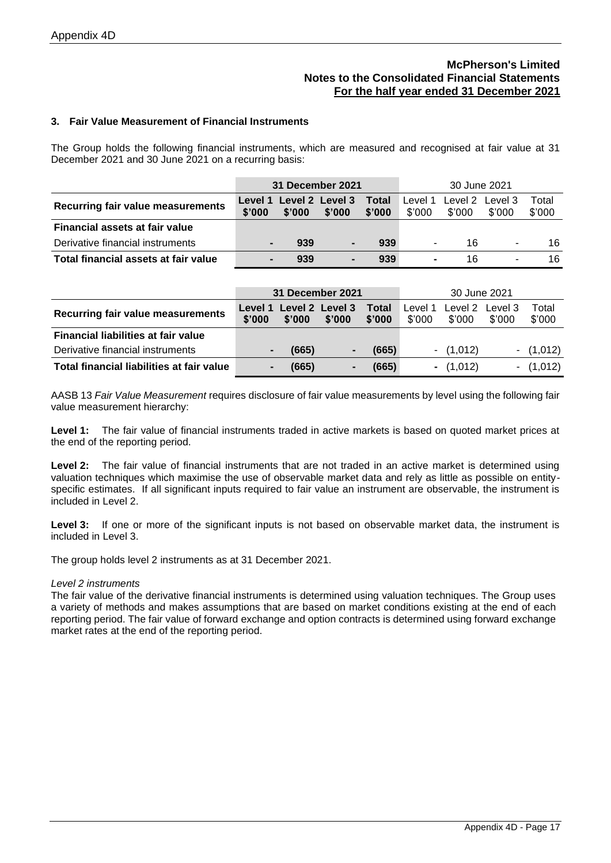### **3. Fair Value Measurement of Financial Instruments**

The Group holds the following financial instruments, which are measured and recognised at fair value at 31 December 2021 and 30 June 2021 on a recurring basis:

|                                          | 31 December 2021 |        |                                   |                        |                   | 30 June 2021              |        |                 |
|------------------------------------------|------------------|--------|-----------------------------------|------------------------|-------------------|---------------------------|--------|-----------------|
| <b>Recurring fair value measurements</b> | \$'000           | \$'000 | Level 1 Level 2 Level 3<br>\$'000 | <b>Total</b><br>\$'000 | Level 1<br>\$'000 | Level 2 Level 3<br>\$'000 | \$'000 | Total<br>\$'000 |
| <b>Financial assets at fair value</b>    |                  |        |                                   |                        |                   |                           |        |                 |
| Derivative financial instruments         |                  | 939    |                                   | 939                    | ۰.                | 16                        | ۰      | 16              |
| Total financial assets at fair value     |                  | 939    |                                   | 939                    | $\blacksquare$    | 16                        |        | 16              |

|                                           | 31 December 2021  |        |                           | 30 June 2021    |                   |             |                           |                 |
|-------------------------------------------|-------------------|--------|---------------------------|-----------------|-------------------|-------------|---------------------------|-----------------|
| <b>Recurring fair value measurements</b>  | Level 1<br>\$'000 | \$'000 | Level 2 Level 3<br>\$'000 | Total<br>\$'000 | Level 1<br>\$'000 | \$'000      | Level 2 Level 3<br>\$'000 | Total<br>\$'000 |
| Financial liabilities at fair value       |                   |        |                           |                 |                   |             |                           |                 |
| Derivative financial instruments          |                   | (665)  |                           | (665)           |                   | $- (1,012)$ |                           | $- (1,012)$     |
| Total financial liabilities at fair value |                   | (665)  |                           | (665)           |                   | $- (1,012)$ |                           | $- (1,012)$     |

AASB 13 *Fair Value Measurement* requires disclosure of fair value measurements by level using the following fair value measurement hierarchy:

Level 1: The fair value of financial instruments traded in active markets is based on quoted market prices at the end of the reporting period.

**Level 2:** The fair value of financial instruments that are not traded in an active market is determined using valuation techniques which maximise the use of observable market data and rely as little as possible on entityspecific estimates. If all significant inputs required to fair value an instrument are observable, the instrument is included in Level 2.

Level 3: If one or more of the significant inputs is not based on observable market data, the instrument is included in Level 3.

The group holds level 2 instruments as at 31 December 2021.

### *Level 2 instruments*

The fair value of the derivative financial instruments is determined using valuation techniques. The Group uses a variety of methods and makes assumptions that are based on market conditions existing at the end of each reporting period. The fair value of forward exchange and option contracts is determined using forward exchange market rates at the end of the reporting period.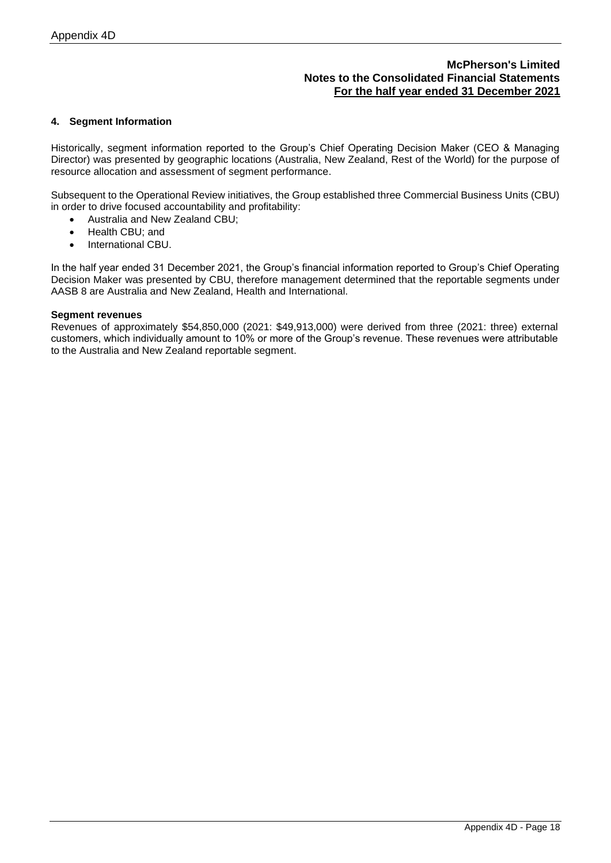### **4. Segment Information**

Historically, segment information reported to the Group's Chief Operating Decision Maker (CEO & Managing Director) was presented by geographic locations (Australia, New Zealand, Rest of the World) for the purpose of resource allocation and assessment of segment performance.

Subsequent to the Operational Review initiatives, the Group established three Commercial Business Units (CBU) in order to drive focused accountability and profitability:

- Australia and New Zealand CBU;
- Health CBU; and
- International CBU.

In the half year ended 31 December 2021, the Group's financial information reported to Group's Chief Operating Decision Maker was presented by CBU, therefore management determined that the reportable segments under AASB 8 are Australia and New Zealand, Health and International.

### **Segment revenues**

Revenues of approximately \$54,850,000 (2021: \$49,913,000) were derived from three (2021: three) external customers, which individually amount to 10% or more of the Group's revenue. These revenues were attributable to the Australia and New Zealand reportable segment.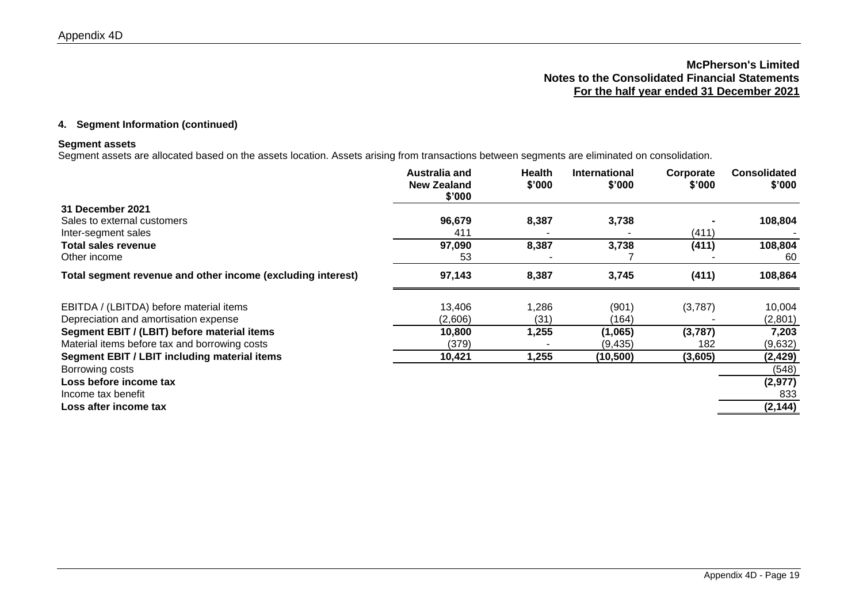### **4. Segment Information (continued)**

### **Segment assets**

Segment assets are allocated based on the assets location. Assets arising from transactions between segments are eliminated on consolidation.

|                                                             | Australia and<br><b>New Zealand</b><br>\$'000 | Health<br>\$'000 | <b>International</b><br>\$'000 | Corporate<br>\$'000 | <b>Consolidated</b><br>\$'000 |
|-------------------------------------------------------------|-----------------------------------------------|------------------|--------------------------------|---------------------|-------------------------------|
| 31 December 2021                                            |                                               |                  |                                |                     |                               |
| Sales to external customers                                 | 96,679                                        | 8,387            | 3,738                          |                     | 108,804                       |
| Inter-segment sales                                         | 411                                           |                  |                                | (411)               |                               |
| Total sales revenue                                         | 97,090                                        | 8,387            | 3,738                          | (411)               | 108,804                       |
| Other income                                                | 53                                            |                  |                                |                     | -60                           |
| Total segment revenue and other income (excluding interest) | 97,143                                        | 8,387            | 3,745                          | (411)               | 108,864                       |
| EBITDA / (LBITDA) before material items                     | 13,406                                        | 286, ا           | (901)                          | (3,787)             | 10,004                        |
| Depreciation and amortisation expense                       | (2,606)                                       | (31)             | (164)                          |                     | (2,801)                       |
| Segment EBIT / (LBIT) before material items                 | 10,800                                        | 1,255            | (1,065)                        | (3,787)             | 7,203                         |
| Material items before tax and borrowing costs               | (379)                                         |                  | (9, 435)                       | 182                 | (9,632)                       |
| Segment EBIT / LBIT including material items                | 10,421                                        | 1,255            | (10, 500)                      | (3,605)             | (2, 429)                      |
| Borrowing costs                                             |                                               |                  |                                |                     | (548)                         |
| Loss before income tax                                      |                                               |                  |                                |                     | (2, 977)                      |
| Income tax benefit                                          |                                               |                  |                                |                     | 833                           |
| Loss after income tax                                       |                                               |                  |                                |                     | (2, 144)                      |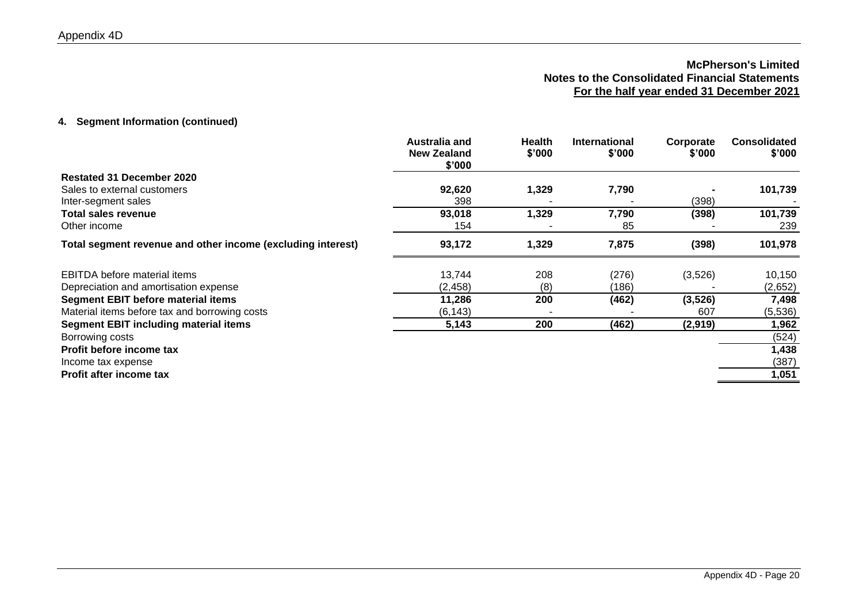### **4. Segment Information (continued)**

|                                                             | Australia and<br><b>New Zealand</b><br>\$'000 | <b>Health</b><br>\$'000 | <b>International</b><br>\$'000 | Corporate<br>\$'000 | <b>Consolidated</b><br>\$'000 |
|-------------------------------------------------------------|-----------------------------------------------|-------------------------|--------------------------------|---------------------|-------------------------------|
| <b>Restated 31 December 2020</b>                            |                                               |                         |                                |                     |                               |
| Sales to external customers                                 | 92,620                                        | 1,329                   | 7,790                          |                     | 101,739                       |
| Inter-segment sales                                         | 398                                           |                         |                                | (398)               |                               |
| <b>Total sales revenue</b>                                  | 93,018                                        | 1,329                   | 7,790                          | (398)               | 101,739                       |
| Other income                                                | 154                                           |                         | 85                             |                     | 239                           |
| Total segment revenue and other income (excluding interest) | 93,172                                        | 1,329                   | 7,875                          | (398)               | 101,978                       |
| EBITDA before material items                                | 13,744                                        | 208                     | (276)                          | (3,526)             | 10,150                        |
| Depreciation and amortisation expense                       | (2, 458)                                      | (8)                     | (186)                          |                     | (2,652)                       |
| <b>Segment EBIT before material items</b>                   | 11,286                                        | 200                     | (462)                          | (3, 526)            | 7,498                         |
| Material items before tax and borrowing costs               | (6, 143)                                      |                         |                                | 607                 | (5,536)                       |
| <b>Segment EBIT including material items</b>                | 5,143                                         | 200                     | (462)                          | (2,919)             | 1,962                         |
| Borrowing costs                                             |                                               |                         |                                |                     | (524)                         |
| Profit before income tax                                    |                                               |                         |                                |                     | 1,438                         |
| Income tax expense                                          |                                               |                         |                                |                     | (387)                         |
| Profit after income tax                                     |                                               |                         |                                |                     | 1,051                         |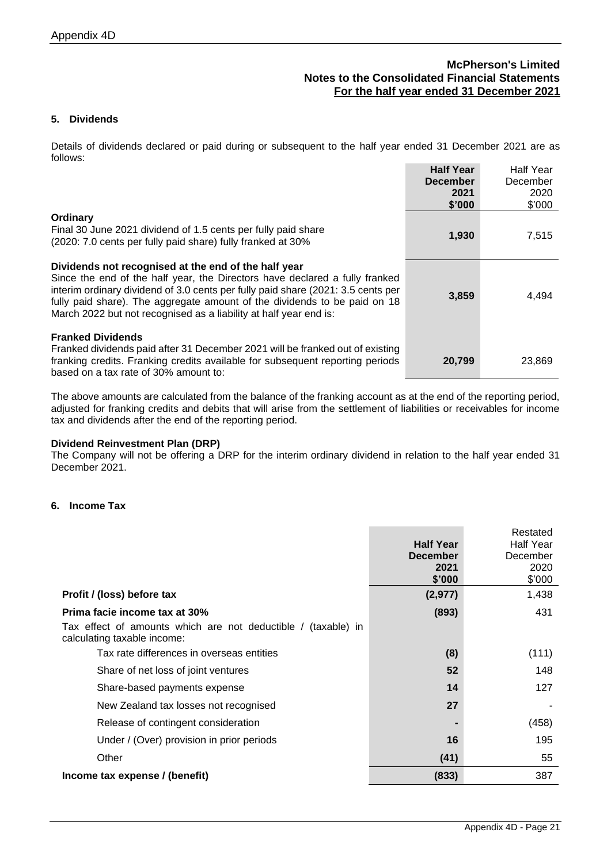# **5. Dividends**

Details of dividends declared or paid during or subsequent to the half year ended 31 December 2021 are as follows: **Half Year** Half Year

|                                                                                                                                                                                                                                                                                                                                                                           | <b>Half Year</b><br><b>December</b><br>2021<br>\$'000 | Halt Year<br>December<br>2020<br>\$'000 |
|---------------------------------------------------------------------------------------------------------------------------------------------------------------------------------------------------------------------------------------------------------------------------------------------------------------------------------------------------------------------------|-------------------------------------------------------|-----------------------------------------|
| Ordinary<br>Final 30 June 2021 dividend of 1.5 cents per fully paid share<br>(2020: 7.0 cents per fully paid share) fully franked at 30%                                                                                                                                                                                                                                  | 1,930                                                 | 7,515                                   |
| Dividends not recognised at the end of the half year<br>Since the end of the half year, the Directors have declared a fully franked<br>interim ordinary dividend of 3.0 cents per fully paid share (2021: 3.5 cents per<br>fully paid share). The aggregate amount of the dividends to be paid on 18<br>March 2022 but not recognised as a liability at half year end is: | 3,859                                                 | 4,494                                   |
| <b>Franked Dividends</b><br>Franked dividends paid after 31 December 2021 will be franked out of existing<br>franking credits. Franking credits available for subsequent reporting periods<br>based on a tax rate of 30% amount to:                                                                                                                                       | 20,799                                                | 23,869                                  |

The above amounts are calculated from the balance of the franking account as at the end of the reporting period, adjusted for franking credits and debits that will arise from the settlement of liabilities or receivables for income tax and dividends after the end of the reporting period.

#### **Dividend Reinvestment Plan (DRP)**

The Company will not be offering a DRP for the interim ordinary dividend in relation to the half year ended 31 December 2021.

### **6. Income Tax**

|                                                                                                 | <b>Half Year</b><br><b>December</b><br>2021<br>\$'000 | Restated<br><b>Half Year</b><br>December<br>2020<br>\$'000 |
|-------------------------------------------------------------------------------------------------|-------------------------------------------------------|------------------------------------------------------------|
| Profit / (loss) before tax                                                                      | (2, 977)                                              | 1,438                                                      |
| Prima facie income tax at 30%                                                                   | (893)                                                 | 431                                                        |
| Tax effect of amounts which are not deductible /<br>(taxable) in<br>calculating taxable income: |                                                       |                                                            |
| Tax rate differences in overseas entities                                                       | (8)                                                   | (111)                                                      |
| Share of net loss of joint ventures                                                             | 52                                                    | 148                                                        |
| Share-based payments expense                                                                    | 14                                                    | 127                                                        |
| New Zealand tax losses not recognised                                                           | 27                                                    |                                                            |
| Release of contingent consideration                                                             |                                                       | (458)                                                      |
| Under / (Over) provision in prior periods                                                       | 16                                                    | 195                                                        |
| Other                                                                                           | (41)                                                  | 55                                                         |
| Income tax expense / (benefit)                                                                  | (833)                                                 | 387                                                        |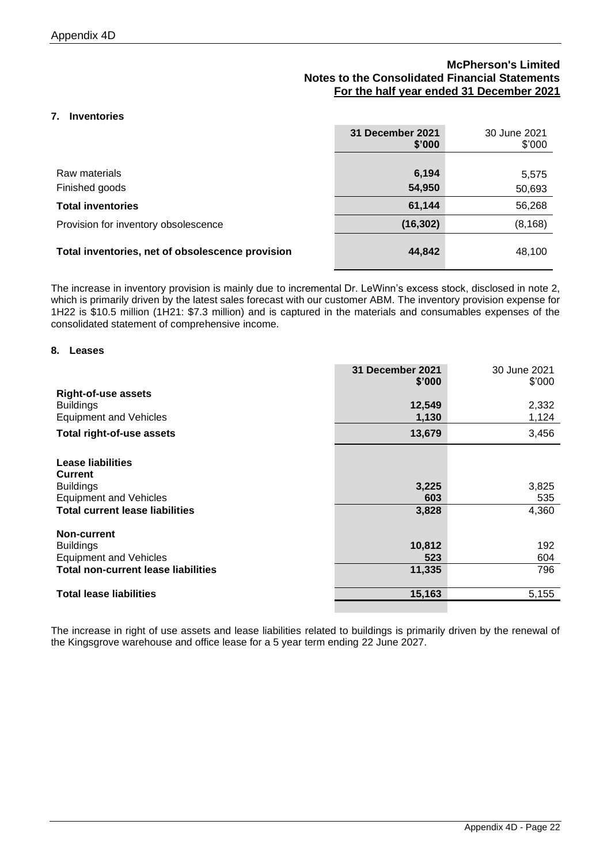### **7. Inventories**

|                                                  | 31 December 2021<br>\$'000 | 30 June 2021<br>\$'000 |
|--------------------------------------------------|----------------------------|------------------------|
|                                                  |                            |                        |
| Raw materials                                    | 6,194                      | 5,575                  |
| Finished goods                                   | 54,950                     | 50,693                 |
| <b>Total inventories</b>                         | 61,144                     | 56,268                 |
| Provision for inventory obsolescence             | (16, 302)                  | (8, 168)               |
| Total inventories, net of obsolescence provision | 44,842                     | 48,100                 |

The increase in inventory provision is mainly due to incremental Dr. LeWinn's excess stock, disclosed in note 2, which is primarily driven by the latest sales forecast with our customer ABM. The inventory provision expense for 1H22 is \$10.5 million (1H21: \$7.3 million) and is captured in the materials and consumables expenses of the consolidated statement of comprehensive income.

### **8. Leases**

|                                            | 31 December 2021<br>\$'000 | 30 June 2021<br>$$^{\prime}000$ |
|--------------------------------------------|----------------------------|---------------------------------|
| <b>Right-of-use assets</b>                 |                            |                                 |
| <b>Buildings</b>                           | 12,549                     | 2,332                           |
| <b>Equipment and Vehicles</b>              | 1,130                      | 1,124                           |
| <b>Total right-of-use assets</b>           | 13,679                     | 3,456                           |
| <b>Lease liabilities</b><br><b>Current</b> |                            |                                 |
| <b>Buildings</b>                           | 3,225                      | 3,825                           |
| <b>Equipment and Vehicles</b>              | 603                        | 535                             |
| <b>Total current lease liabilities</b>     | 3,828                      | 4,360                           |
| Non-current                                |                            |                                 |
| <b>Buildings</b>                           | 10,812                     | 192                             |
| <b>Equipment and Vehicles</b>              | 523                        | 604                             |
| <b>Total non-current lease liabilities</b> | 11,335                     | 796                             |
| <b>Total lease liabilities</b>             | 15,163                     | 5,155                           |
|                                            |                            |                                 |

The increase in right of use assets and lease liabilities related to buildings is primarily driven by the renewal of the Kingsgrove warehouse and office lease for a 5 year term ending 22 June 2027.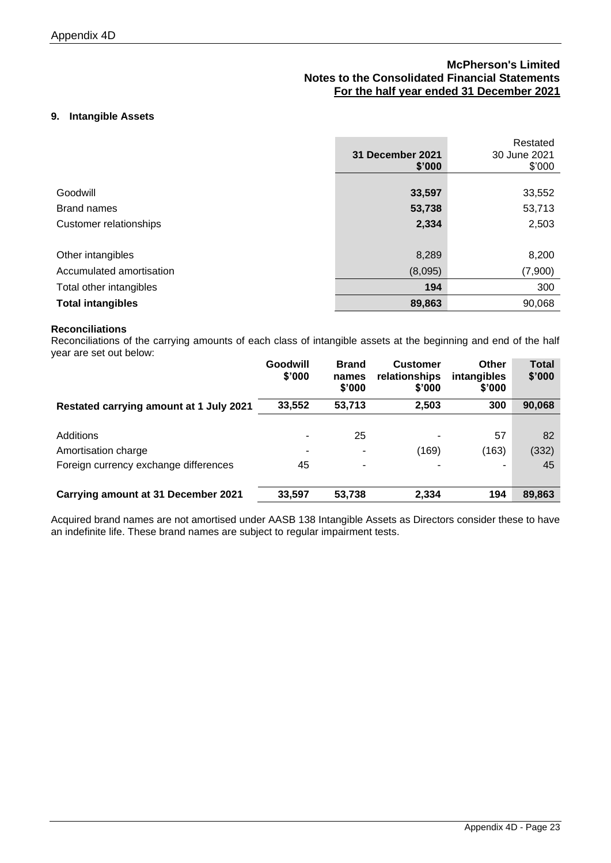### **9. Intangible Assets**

|                          | 31 December 2021<br>\$'000 | Restated<br>30 June 2021<br>\$'000 |
|--------------------------|----------------------------|------------------------------------|
|                          |                            |                                    |
| Goodwill                 | 33,597                     | 33,552                             |
| <b>Brand names</b>       | 53,738                     | 53,713                             |
| Customer relationships   | 2,334                      | 2,503                              |
|                          |                            |                                    |
| Other intangibles        | 8,289                      | 8,200                              |
| Accumulated amortisation | (8,095)                    | (7,900)                            |
| Total other intangibles  | 194                        | 300                                |
| <b>Total intangibles</b> | 89,863                     | 90,068                             |

### **Reconciliations**

Reconciliations of the carrying amounts of each class of intangible assets at the beginning and end of the half year are set out below:

|                                         | Goodwill<br>\$'000 | <b>Brand</b><br>names<br>\$'000 | <b>Customer</b><br>relationships<br>\$'000 | <b>Other</b><br>intangibles<br>\$'000 | Total<br>\$'000 |
|-----------------------------------------|--------------------|---------------------------------|--------------------------------------------|---------------------------------------|-----------------|
| Restated carrying amount at 1 July 2021 | 33,552             | 53,713                          | 2,503                                      | 300                                   | 90,068          |
|                                         |                    |                                 |                                            |                                       |                 |
| Additions                               |                    | 25                              |                                            | 57                                    | 82              |
| Amortisation charge                     |                    |                                 | (169)                                      | (163)                                 | (332)           |
| Foreign currency exchange differences   | 45                 | ۰                               |                                            | ۰                                     | 45              |
|                                         |                    |                                 |                                            |                                       |                 |
| Carrying amount at 31 December 2021     | 33,597             | 53,738                          | 2,334                                      | 194                                   | 89,863          |

Acquired brand names are not amortised under AASB 138 Intangible Assets as Directors consider these to have an indefinite life. These brand names are subject to regular impairment tests.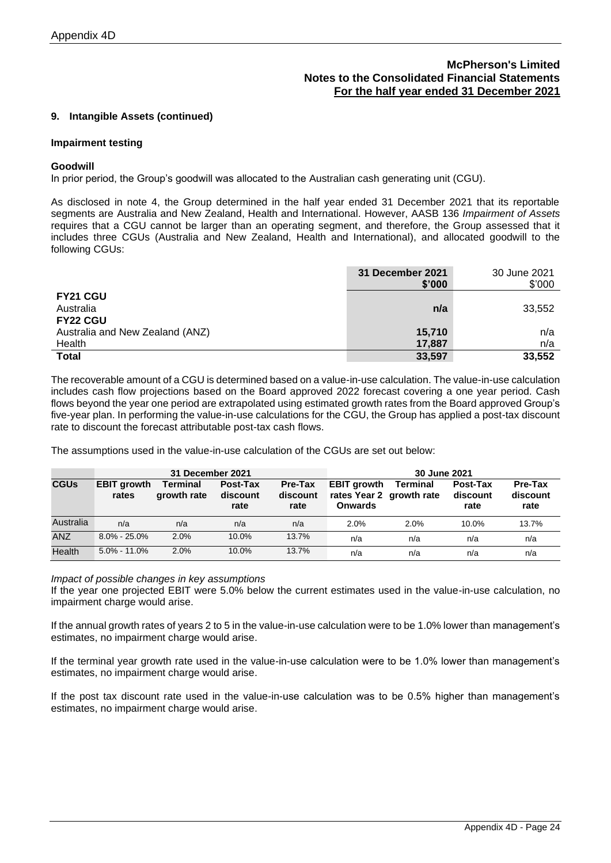### **9. Intangible Assets (continued)**

#### **Impairment testing**

#### **Goodwill**

In prior period, the Group's goodwill was allocated to the Australian cash generating unit (CGU).

As disclosed in note 4, the Group determined in the half year ended 31 December 2021 that its reportable segments are Australia and New Zealand, Health and International. However, AASB 136 *Impairment of Assets* requires that a CGU cannot be larger than an operating segment, and therefore, the Group assessed that it includes three CGUs (Australia and New Zealand, Health and International), and allocated goodwill to the following CGUs:

|                                 | 31 December 2021<br>\$'000 | 30 June 2021<br>\$'000 |
|---------------------------------|----------------------------|------------------------|
| <b>FY21 CGU</b>                 |                            |                        |
| Australia                       | n/a                        | 33,552                 |
| <b>FY22 CGU</b>                 |                            |                        |
| Australia and New Zealand (ANZ) | 15,710                     | n/a                    |
| Health                          | 17,887                     | n/a                    |
| <b>Total</b>                    | 33,597                     | 33,552                 |

The recoverable amount of a CGU is determined based on a value-in-use calculation. The value-in-use calculation includes cash flow projections based on the Board approved 2022 forecast covering a one year period. Cash flows beyond the year one period are extrapolated using estimated growth rates from the Board approved Group's five-year plan. In performing the value-in-use calculations for the CGU, the Group has applied a post-tax discount rate to discount the forecast attributable post-tax cash flows.

The assumptions used in the value-in-use calculation of the CGUs are set out below:

|             | 31 December 2021            |                                |                              | 30 June 2021                |                                                                  |                 |                              |                             |
|-------------|-----------------------------|--------------------------------|------------------------------|-----------------------------|------------------------------------------------------------------|-----------------|------------------------------|-----------------------------|
| <b>CGUs</b> | <b>EBIT growth</b><br>rates | <b>Terminal</b><br>growth rate | Post-Tax<br>discount<br>rate | Pre-Tax<br>discount<br>rate | <b>EBIT growth</b><br>rates Year 2 growth rate<br><b>Onwards</b> | <b>Terminal</b> | Post-Tax<br>discount<br>rate | Pre-Tax<br>discount<br>rate |
| Australia   | n/a                         | n/a                            | n/a                          | n/a                         | 2.0%                                                             | 2.0%            | $10.0\%$                     | 13.7%                       |
| <b>ANZ</b>  | $8.0\% - 25.0\%$            | 2.0%                           | 10.0%                        | 13.7%                       | n/a                                                              | n/a             | n/a                          | n/a                         |
| Health      | $5.0\% - 11.0\%$            | 2.0%                           | 10.0%                        | 13.7%                       | n/a                                                              | n/a             | n/a                          | n/a                         |

#### *Impact of possible changes in key assumptions*

If the year one projected EBIT were 5.0% below the current estimates used in the value-in-use calculation, no impairment charge would arise.

If the annual growth rates of years 2 to 5 in the value-in-use calculation were to be 1.0% lower than management's estimates, no impairment charge would arise.

If the terminal year growth rate used in the value-in-use calculation were to be 1.0% lower than management's estimates, no impairment charge would arise.

If the post tax discount rate used in the value-in-use calculation was to be 0.5% higher than management's estimates, no impairment charge would arise.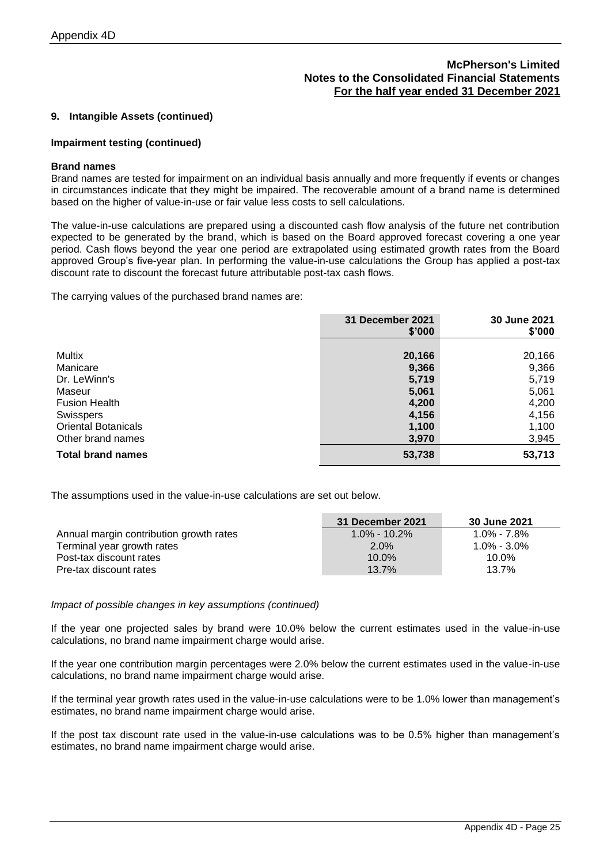### **9. Intangible Assets (continued)**

#### **Impairment testing (continued)**

#### **Brand names**

Brand names are tested for impairment on an individual basis annually and more frequently if events or changes in circumstances indicate that they might be impaired. The recoverable amount of a brand name is determined based on the higher of value-in-use or fair value less costs to sell calculations.

The value-in-use calculations are prepared using a discounted cash flow analysis of the future net contribution expected to be generated by the brand, which is based on the Board approved forecast covering a one year period. Cash flows beyond the year one period are extrapolated using estimated growth rates from the Board approved Group's five-year plan. In performing the value-in-use calculations the Group has applied a post-tax discount rate to discount the forecast future attributable post-tax cash flows.

The carrying values of the purchased brand names are:

|                            | 31 December 2021<br>\$'000 | 30 June 2021<br>\$'000 |
|----------------------------|----------------------------|------------------------|
|                            |                            |                        |
| Multix                     | 20,166                     | 20,166                 |
| Manicare                   | 9,366                      | 9,366                  |
| Dr. LeWinn's               | 5,719                      | 5,719                  |
| Maseur                     | 5,061                      | 5,061                  |
| <b>Fusion Health</b>       | 4,200                      | 4,200                  |
| <b>Swisspers</b>           | 4,156                      | 4,156                  |
| <b>Oriental Botanicals</b> | 1,100                      | 1,100                  |
| Other brand names          | 3,970                      | 3,945                  |
| <b>Total brand names</b>   | 53,738                     | 53,713                 |

The assumptions used in the value-in-use calculations are set out below.

|                                         | 31 December 2021 | 30 June 2021    |
|-----------------------------------------|------------------|-----------------|
| Annual margin contribution growth rates | $1.0\% - 10.2\%$ | $1.0\% - 7.8\%$ |
| Terminal year growth rates              | $2.0\%$          | $1.0\% - 3.0\%$ |
| Post-tax discount rates                 | $10.0\%$         | $10.0\%$        |
| Pre-tax discount rates                  | 13.7%            | 13.7%           |

#### *Impact of possible changes in key assumptions (continued)*

If the year one projected sales by brand were 10.0% below the current estimates used in the value-in-use calculations, no brand name impairment charge would arise.

If the year one contribution margin percentages were 2.0% below the current estimates used in the value-in-use calculations, no brand name impairment charge would arise.

If the terminal year growth rates used in the value-in-use calculations were to be 1.0% lower than management's estimates, no brand name impairment charge would arise.

If the post tax discount rate used in the value-in-use calculations was to be 0.5% higher than management's estimates, no brand name impairment charge would arise.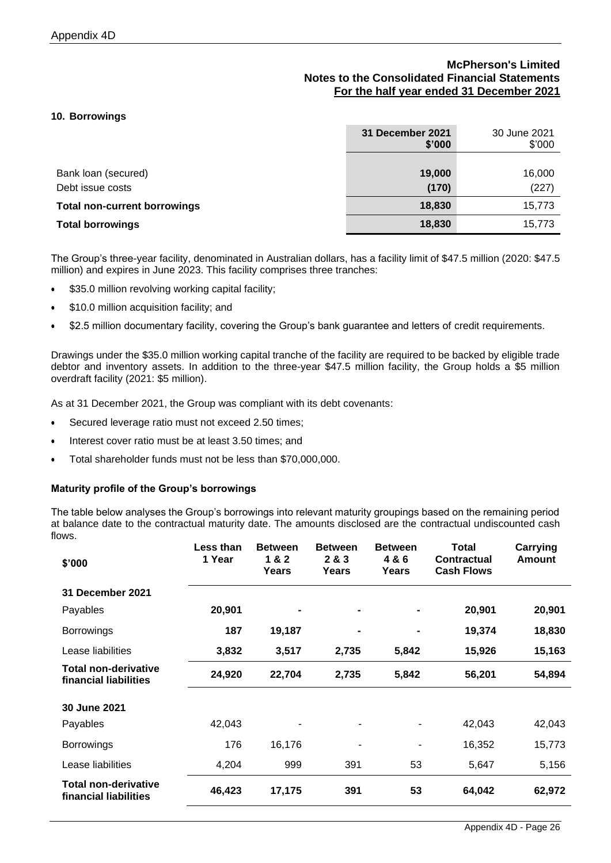### **10. Borrowings**

|                                         | 31 December 2021<br>\$'000 | 30 June 2021<br>\$'000 |
|-----------------------------------------|----------------------------|------------------------|
| Bank loan (secured)<br>Debt issue costs | 19,000<br>(170)            | 16,000<br>(227)        |
| <b>Total non-current borrowings</b>     | 18,830                     | 15,773                 |
| <b>Total borrowings</b>                 | 18,830                     | 15,773                 |

The Group's three-year facility, denominated in Australian dollars, has a facility limit of \$47.5 million (2020: \$47.5 million) and expires in June 2023. This facility comprises three tranches:

- \$35.0 million revolving working capital facility;
- \$10.0 million acquisition facility; and
- \$2.5 million documentary facility, covering the Group's bank guarantee and letters of credit requirements.

Drawings under the \$35.0 million working capital tranche of the facility are required to be backed by eligible trade debtor and inventory assets. In addition to the three-year \$47.5 million facility, the Group holds a \$5 million overdraft facility (2021: \$5 million).

As at 31 December 2021, the Group was compliant with its debt covenants:

- Secured leverage ratio must not exceed 2.50 times;
- Interest cover ratio must be at least 3.50 times; and
- Total shareholder funds must not be less than \$70,000,000.

#### **Maturity profile of the Group's borrowings**

The table below analyses the Group's borrowings into relevant maturity groupings based on the remaining period at balance date to the contractual maturity date. The amounts disclosed are the contractual undiscounted cash flows.

| \$'000                                               | Less than<br>1 Year | <b>Between</b><br>1&2<br>Years | <b>Between</b><br>2 & 3<br>Years | <b>Between</b><br>4 & 6<br>Years | Total<br><b>Contractual</b><br><b>Cash Flows</b> | <b>Carrying</b><br>Amount |
|------------------------------------------------------|---------------------|--------------------------------|----------------------------------|----------------------------------|--------------------------------------------------|---------------------------|
| 31 December 2021                                     |                     |                                |                                  |                                  |                                                  |                           |
| Payables                                             | 20,901              |                                |                                  |                                  | 20,901                                           | 20,901                    |
| <b>Borrowings</b>                                    | 187                 | 19,187                         |                                  | $\blacksquare$                   | 19,374                                           | 18,830                    |
| Lease liabilities                                    | 3,832               | 3,517                          | 2,735                            | 5,842                            | 15,926                                           | 15,163                    |
| <b>Total non-derivative</b><br>financial liabilities | 24,920              | 22,704                         | 2,735                            | 5,842                            | 56,201                                           | 54,894                    |
| 30 June 2021                                         |                     |                                |                                  |                                  |                                                  |                           |
| Payables                                             | 42,043              |                                |                                  |                                  | 42,043                                           | 42,043                    |
| <b>Borrowings</b>                                    | 176                 | 16,176                         |                                  | ۰                                | 16,352                                           | 15,773                    |
| Lease liabilities                                    | 4,204               | 999                            | 391                              | 53                               | 5,647                                            | 5,156                     |
| <b>Total non-derivative</b><br>financial liabilities | 46,423              | 17,175                         | 391                              | 53                               | 64,042                                           | 62,972                    |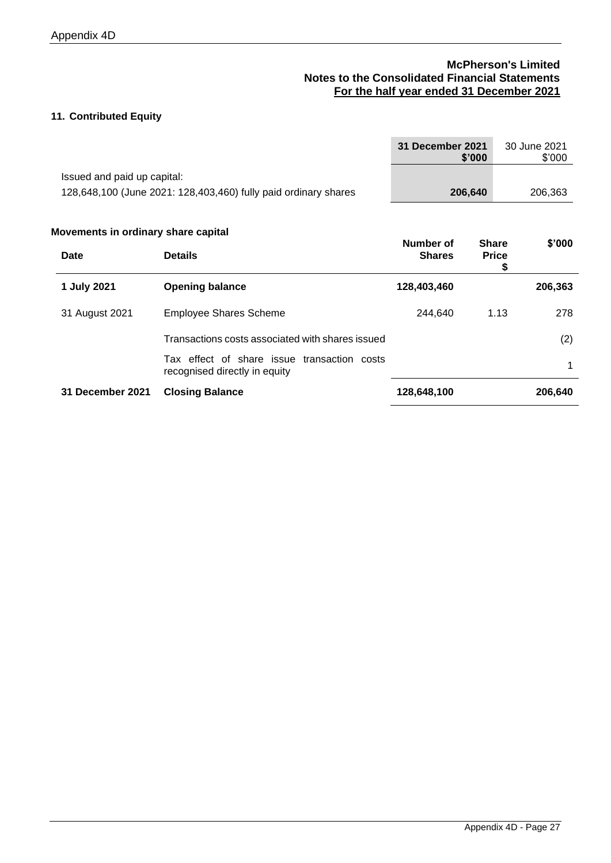# **11. Contributed Equity**

|                                             |                                                                              | <b>31 December 2021</b>    | \$'000       |                   | 30 June 2021<br>\$'000 |
|---------------------------------------------|------------------------------------------------------------------------------|----------------------------|--------------|-------------------|------------------------|
| Issued and paid up capital:                 |                                                                              |                            |              |                   |                        |
|                                             | 128,648,100 (June 2021: 128,403,460) fully paid ordinary shares              |                            | 206,640      |                   | 206,363                |
| Movements in ordinary share capital<br>Date | <b>Details</b>                                                               | Number of<br><b>Shares</b> | <b>Share</b> | <b>Price</b><br>S | \$'000                 |
| 1 July 2021                                 | <b>Opening balance</b>                                                       | 128,403,460                |              |                   | 206,363                |
| 31 August 2021                              | <b>Employee Shares Scheme</b>                                                | 244,640                    |              | 1.13              | 278                    |
|                                             | Transactions costs associated with shares issued                             |                            |              |                   | (2)                    |
|                                             | Tax effect of share issue transaction costs<br>recognised directly in equity |                            |              |                   | 1                      |
| 31 December 2021                            | <b>Closing Balance</b>                                                       | 128,648,100                |              |                   | 206,640                |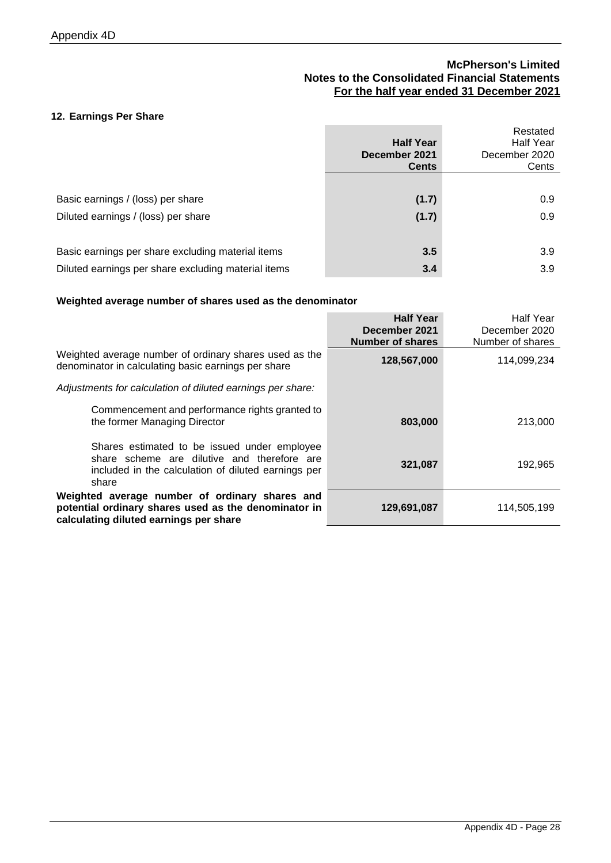### **12. Earnings Per Share**

|                                                     | <b>Half Year</b><br>December 2021<br><b>Cents</b> | Restated<br>Half Year<br>December 2020<br>Cents |
|-----------------------------------------------------|---------------------------------------------------|-------------------------------------------------|
|                                                     |                                                   |                                                 |
| Basic earnings / (loss) per share                   | (1.7)                                             | 0.9                                             |
| Diluted earnings / (loss) per share                 | (1.7)                                             | 0.9                                             |
|                                                     |                                                   |                                                 |
| Basic earnings per share excluding material items   | 3.5                                               | 3.9                                             |
| Diluted earnings per share excluding material items | 3.4                                               | 3.9                                             |

### **Weighted average number of shares used as the denominator**

|                                                                                                                                                             | <b>Half Year</b><br>December 2021      | Half Year<br>December 2020      |
|-------------------------------------------------------------------------------------------------------------------------------------------------------------|----------------------------------------|---------------------------------|
| Weighted average number of ordinary shares used as the<br>denominator in calculating basic earnings per share                                               | <b>Number of shares</b><br>128,567,000 | Number of shares<br>114,099,234 |
| Adjustments for calculation of diluted earnings per share:                                                                                                  |                                        |                                 |
| Commencement and performance rights granted to<br>the former Managing Director                                                                              | 803,000                                | 213,000                         |
| Shares estimated to be issued under employee<br>share scheme are dilutive and therefore are<br>included in the calculation of diluted earnings per<br>share | 321,087                                | 192,965                         |
| Weighted average number of ordinary shares and<br>potential ordinary shares used as the denominator in<br>calculating diluted earnings per share            | 129,691,087                            | 114,505,199                     |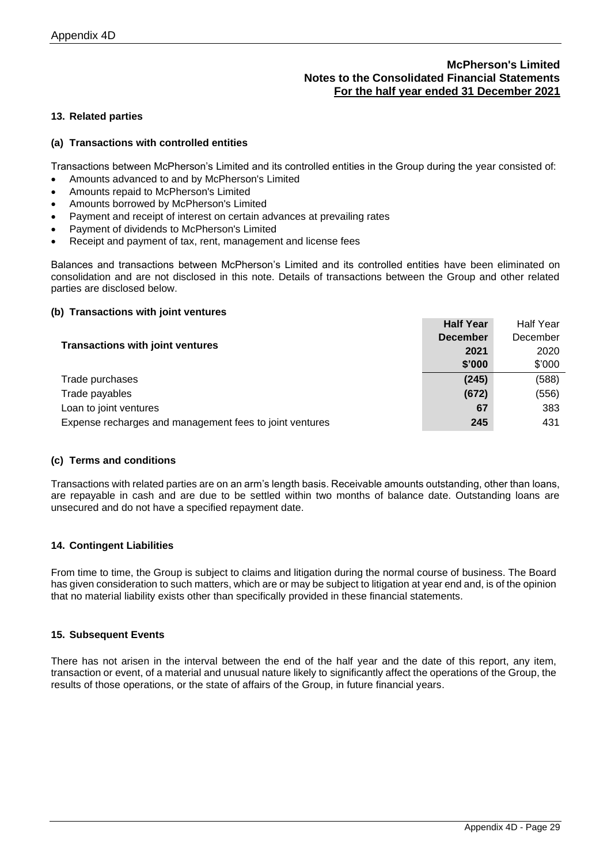### **13. Related parties**

### **(a) Transactions with controlled entities**

Transactions between McPherson's Limited and its controlled entities in the Group during the year consisted of:

- Amounts advanced to and by McPherson's Limited
- Amounts repaid to McPherson's Limited
- Amounts borrowed by McPherson's Limited
- Payment and receipt of interest on certain advances at prevailing rates
- Payment of dividends to McPherson's Limited
- Receipt and payment of tax, rent, management and license fees

Balances and transactions between McPherson's Limited and its controlled entities have been eliminated on consolidation and are not disclosed in this note. Details of transactions between the Group and other related parties are disclosed below.

### **(b) Transactions with joint ventures**

| <b>Half Year</b> | <b>Half Year</b> |
|------------------|------------------|
|                  |                  |
| <b>December</b>  | December         |
| 2021             | 2020             |
| \$'000           | \$'000           |
| (245)            | (588)            |
| (672)            | (556)            |
| 67               | 383              |
| 245              | 431              |
|                  |                  |

#### **(c) Terms and conditions**

Transactions with related parties are on an arm's length basis. Receivable amounts outstanding, other than loans, are repayable in cash and are due to be settled within two months of balance date. Outstanding loans are unsecured and do not have a specified repayment date.

#### **14. Contingent Liabilities**

From time to time, the Group is subject to claims and litigation during the normal course of business. The Board has given consideration to such matters, which are or may be subject to litigation at year end and, is of the opinion that no material liability exists other than specifically provided in these financial statements.

#### **15. Subsequent Events**

There has not arisen in the interval between the end of the half year and the date of this report, any item, transaction or event, of a material and unusual nature likely to significantly affect the operations of the Group, the results of those operations, or the state of affairs of the Group, in future financial years.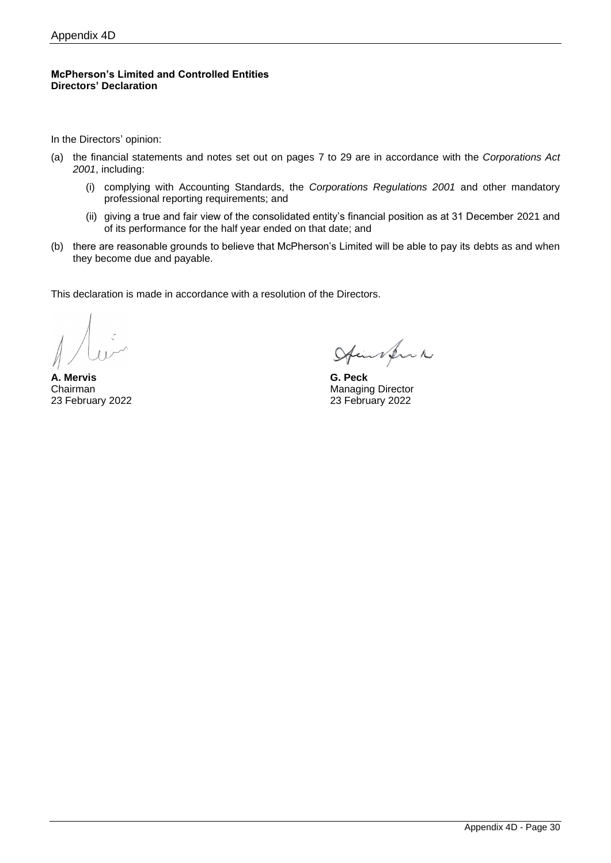### **McPherson's Limited and Controlled Entities Directors' Declaration**

In the Directors' opinion:

- (a) the financial statements and notes set out on pages 7 to 29 are in accordance with the *Corporations Act 2001*, including:
	- (i) complying with Accounting Standards, the *Corporations Regulations 2001* and other mandatory professional reporting requirements; and
	- (ii) giving a true and fair view of the consolidated entity's financial position as at 31 December 2021 and of its performance for the half year ended on that date; and
- (b) there are reasonable grounds to believe that McPherson's Limited will be able to pay its debts as and when they become due and payable.

This declaration is made in accordance with a resolution of the Directors.

**A. Mervis G. Peck** 23 February 2022 23 February 2022

Aimsfruh

Chairman Managing Director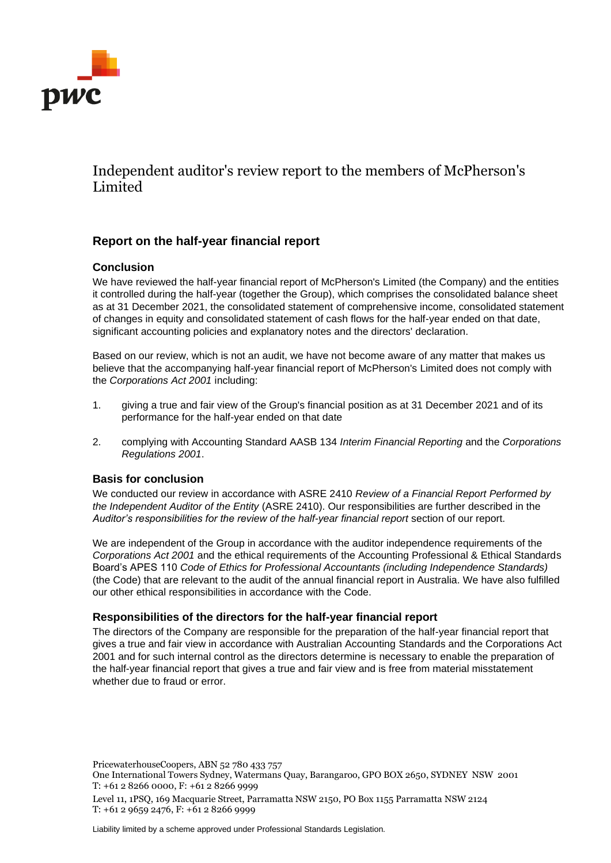

# Independent auditor's review report to the members of McPherson's Limited

# **Report on the half-year financial report**

# **Conclusion**

We have reviewed the half-year financial report of McPherson's Limited (the Company) and the entities it controlled during the half-year (together the Group), which comprises the consolidated balance sheet as at 31 December 2021, the consolidated statement of comprehensive income, consolidated statement of changes in equity and consolidated statement of cash flows for the half-year ended on that date, significant accounting policies and explanatory notes and the directors' declaration.

Based on our review, which is not an audit, we have not become aware of any matter that makes us believe that the accompanying half-year financial report of McPherson's Limited does not comply with the *Corporations Act 2001* including:

- 1. giving a true and fair view of the Group's financial position as at 31 December 2021 and of its performance for the half-year ended on that date
- 2. complying with Accounting Standard AASB 134 *Interim Financial Reporting* and the *Corporations Regulations 2001*.

# **Basis for conclusion**

We conducted our review in accordance with ASRE 2410 *Review of a Financial Report Performed by the Independent Auditor of the Entity* (ASRE 2410). Our responsibilities are further described in the *Auditor's responsibilities for the review of the half-year financial report* section of our report.

We are independent of the Group in accordance with the auditor independence requirements of the *Corporations Act 2001* and the ethical requirements of the Accounting Professional & Ethical Standards Board's APES 110 *Code of Ethics for Professional Accountants (including Independence Standards)* (the Code) that are relevant to the audit of the annual financial report in Australia. We have also fulfilled our other ethical responsibilities in accordance with the Code.

### **Responsibilities of the directors for the half-year financial report**

The directors of the Company are responsible for the preparation of the half-year financial report that gives a true and fair view in accordance with Australian Accounting Standards and the Corporations Act 2001 and for such internal control as the directors determine is necessary to enable the preparation of the half-year financial report that gives a true and fair view and is free from material misstatement whether due to fraud or error.

PricewaterhouseCoopers, ABN 52 780 433 757

One International Towers Sydney, Watermans Quay, Barangaroo, GPO BOX 2650, SYDNEY NSW 2001 T: +61 2 8266 0000, F: +61 2 8266 9999

Level 11, 1PSQ, 169 Macquarie Street, Parramatta NSW 2150, PO Box 1155 Parramatta NSW 2124 T: +61 2 9659 2476, F: +61 2 8266 9999